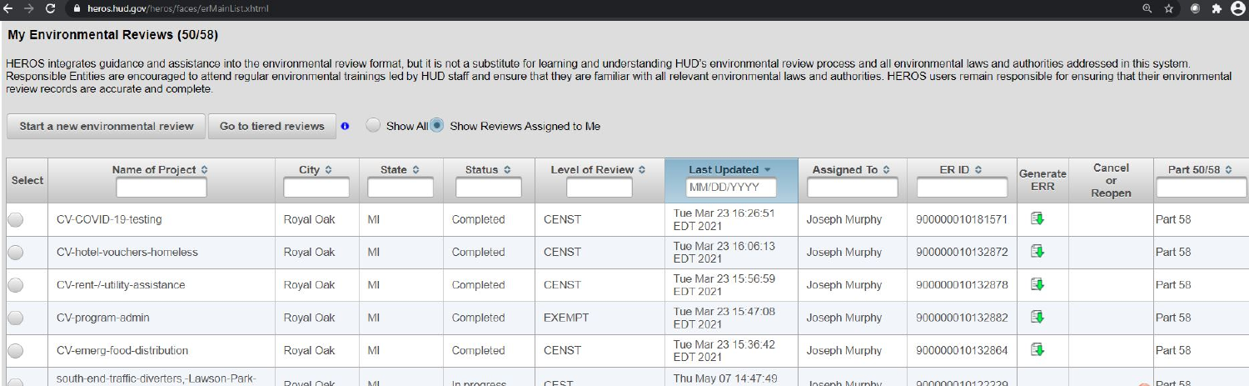# **My Environmental Reviews (50/58)**

HEROS integrates guidance and assistance into the environmental review format, but it is not a substitute for learning and understanding HUD's environmental review process and all environmental laws and authorities address Responsible Entities are encouraged to attend regular environmental trainings led by HUD staff and ensure that they are familiar with all relevant environmental laws and authorities. HEROS users remain responsible for ensu review records are accurate and complete.

|        | Show All Show Reviews Assigned to Me<br>Start a new environmental review<br>Go to tiered reviews<br>$\bullet$ |                 |                  |                   |                   |                                        |               |                  |                        |                        |              |
|--------|---------------------------------------------------------------------------------------------------------------|-----------------|------------------|-------------------|-------------------|----------------------------------------|---------------|------------------|------------------------|------------------------|--------------|
| Select | Name of Project ♦                                                                                             | City $\diamond$ | State $\diamond$ | Status $\diamond$ | Level of Review ♦ | Last Updated *<br>MM/DD/YYYY           | Assigned To ↓ | ER ID $\diamond$ | Generate<br><b>ERR</b> | Cancel<br>or<br>Reopen | Part 50/58 ↔ |
|        | CV-COVID-19-testing                                                                                           | Royal Oak       | MI               | Completed         | <b>CENST</b>      | Tue Mar 23 16:26:51<br><b>EDT 2021</b> | Joseph Murphy | 900000010181571  | 电                      |                        | Part 58      |
|        | CV-hotel-vouchers-homeless                                                                                    | Royal Oak       | MI               | Completed         | <b>CENST</b>      | Tue Mar 23 16:06:13<br><b>EDT 2021</b> | Joseph Murphy | 900000010132872  | 国                      |                        | Part 58      |
|        | CV-rent-/-utility-assistance                                                                                  | Royal Oak       | MI               | Completed         | <b>CENST</b>      | Tue Mar 23 15:56:59<br><b>EDT 2021</b> | Joseph Murphy | 900000010132878  | 电                      |                        | Part 58      |
|        | CV-program-admin                                                                                              | Royal Oak       | MI               | Completed         | <b>EXEMPT</b>     | Tue Mar 23 15:47:08<br><b>EDT 2021</b> | Joseph Murphy | 900000010132882  | 电                      |                        | Part 58      |
|        | CV-emerg-food-distribution                                                                                    | Royal Oak       | MI               | Completed         | <b>CENST</b>      | Tue Mar 23 15:36:42<br><b>EDT 2021</b> | Joseph Murphy | 900000010132864  | 电                      |                        | Part 58      |
|        | south-end-traffic-diverters,-Lawson-Park-                                                                     | Royal Oak       | <b>N.41</b>      | In prograce       | CEST              | Thu May 07 14:47:49                    | losanh Murnhy | 900000010122229  |                        |                        | Part 58      |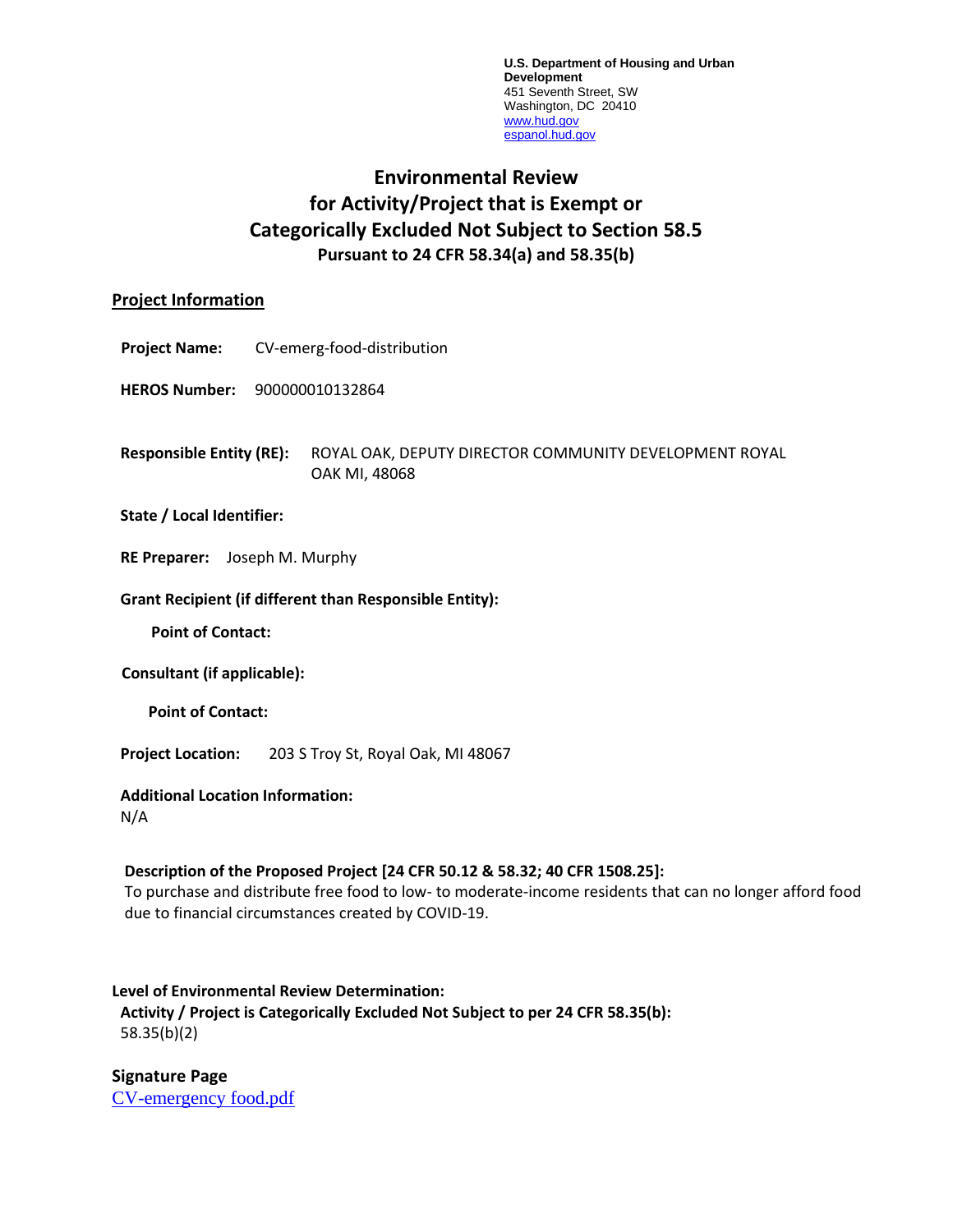**U.S. Department of Housing and Urban Development** 451 Seventh Street, SW Washington, DC 20410 [www.hud.gov](http://www.hud.gov/) [espanol.hud.gov](file:///C:/Documents%20and%20Settings/ABehl/Desktop/MicroStrategy/EMIS/Final%20EMIS/espanol.hud.gov)

# **Environmental Review for Activity/Project that is Exempt or Categorically Excluded Not Subject to Section 58.5 Pursuant to 24 CFR 58.34(a) and 58.35(b)**

## **Project Information**

**Project Name:** CV-emerg-food-distribution

**HEROS Number:** 900000010132864

**Responsible Entity (RE):** ROYAL OAK, DEPUTY DIRECTOR COMMUNITY DEVELOPMENT ROYAL OAK MI, 48068

## **State / Local Identifier:**

**RE Preparer:** Joseph M. Murphy

#### **Grant Recipient (if different than Responsible Entity):**

**Point of Contact:** 

**Consultant (if applicable):**

**Point of Contact:** 

**Project Location:** 203 S Troy St, Royal Oak, MI 48067

## **Additional Location Information:**

N/A

## **Description of the Proposed Project [24 CFR 50.12 & 58.32; 40 CFR 1508.25]:**

To purchase and distribute free food to low- to moderate-income residents that can no longer afford food due to financial circumstances created by COVID-19.

## **Level of Environmental Review Determination: Activity / Project is Categorically Excluded Not Subject to per 24 CFR 58.35(b):**

58.35(b)(2)

**Signature Page** [CV-emergency food.pdf](https://heros.hud.gov/heros/faces/downloadFile.xhtml?erUploadId=900000010927130)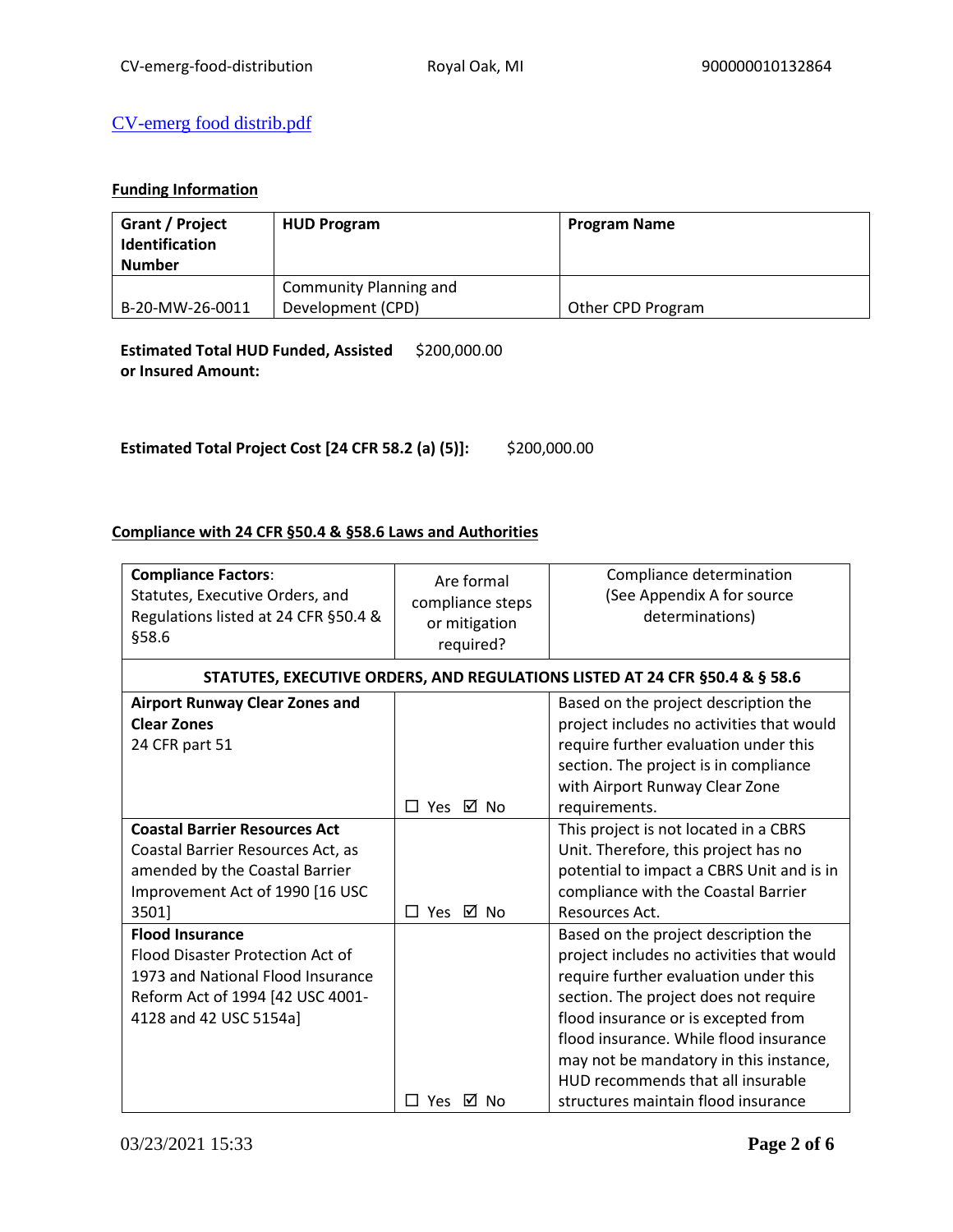## [CV-emerg food distrib.pdf](https://heros.hud.gov/heros/faces/downloadFile.xhtml?erUploadId=900000010658395)

## **Funding Information**

| Grant / Project<br>Identification<br><b>Number</b> | <b>HUD Program</b>     | <b>Program Name</b> |
|----------------------------------------------------|------------------------|---------------------|
|                                                    | Community Planning and |                     |
| B-20-MW-26-0011                                    | Development (CPD)      | Other CPD Program   |

**Estimated Total HUD Funded, Assisted**  \$200,000.00 **or Insured Amount:** 

**Estimated Total Project Cost [24 CFR 58.2 (a) (5)]:** \$200,000.00

## **Compliance with 24 CFR §50.4 & §58.6 Laws and Authorities**

| <b>Compliance Factors:</b><br>Statutes, Executive Orders, and<br>Regulations listed at 24 CFR §50.4 &<br>§58.6                                                | Are formal<br>compliance steps<br>or mitigation<br>required? | Compliance determination<br>(See Appendix A for source<br>determinations)                                                                                                                                                                                                                                                                                                  |
|---------------------------------------------------------------------------------------------------------------------------------------------------------------|--------------------------------------------------------------|----------------------------------------------------------------------------------------------------------------------------------------------------------------------------------------------------------------------------------------------------------------------------------------------------------------------------------------------------------------------------|
|                                                                                                                                                               |                                                              | STATUTES, EXECUTIVE ORDERS, AND REGULATIONS LISTED AT 24 CFR §50.4 & § 58.6                                                                                                                                                                                                                                                                                                |
| <b>Airport Runway Clear Zones and</b><br><b>Clear Zones</b><br>24 CFR part 51                                                                                 | □ Yes ☑ No                                                   | Based on the project description the<br>project includes no activities that would<br>require further evaluation under this<br>section. The project is in compliance<br>with Airport Runway Clear Zone<br>requirements.                                                                                                                                                     |
| <b>Coastal Barrier Resources Act</b><br>Coastal Barrier Resources Act, as<br>amended by the Coastal Barrier<br>Improvement Act of 1990 [16 USC<br>3501]       | □ Yes ☑ No                                                   | This project is not located in a CBRS<br>Unit. Therefore, this project has no<br>potential to impact a CBRS Unit and is in<br>compliance with the Coastal Barrier<br>Resources Act.                                                                                                                                                                                        |
| <b>Flood Insurance</b><br>Flood Disaster Protection Act of<br>1973 and National Flood Insurance<br>Reform Act of 1994 [42 USC 4001-<br>4128 and 42 USC 5154a] | ⊠ No<br><b>Yes</b>                                           | Based on the project description the<br>project includes no activities that would<br>require further evaluation under this<br>section. The project does not require<br>flood insurance or is excepted from<br>flood insurance. While flood insurance<br>may not be mandatory in this instance,<br>HUD recommends that all insurable<br>structures maintain flood insurance |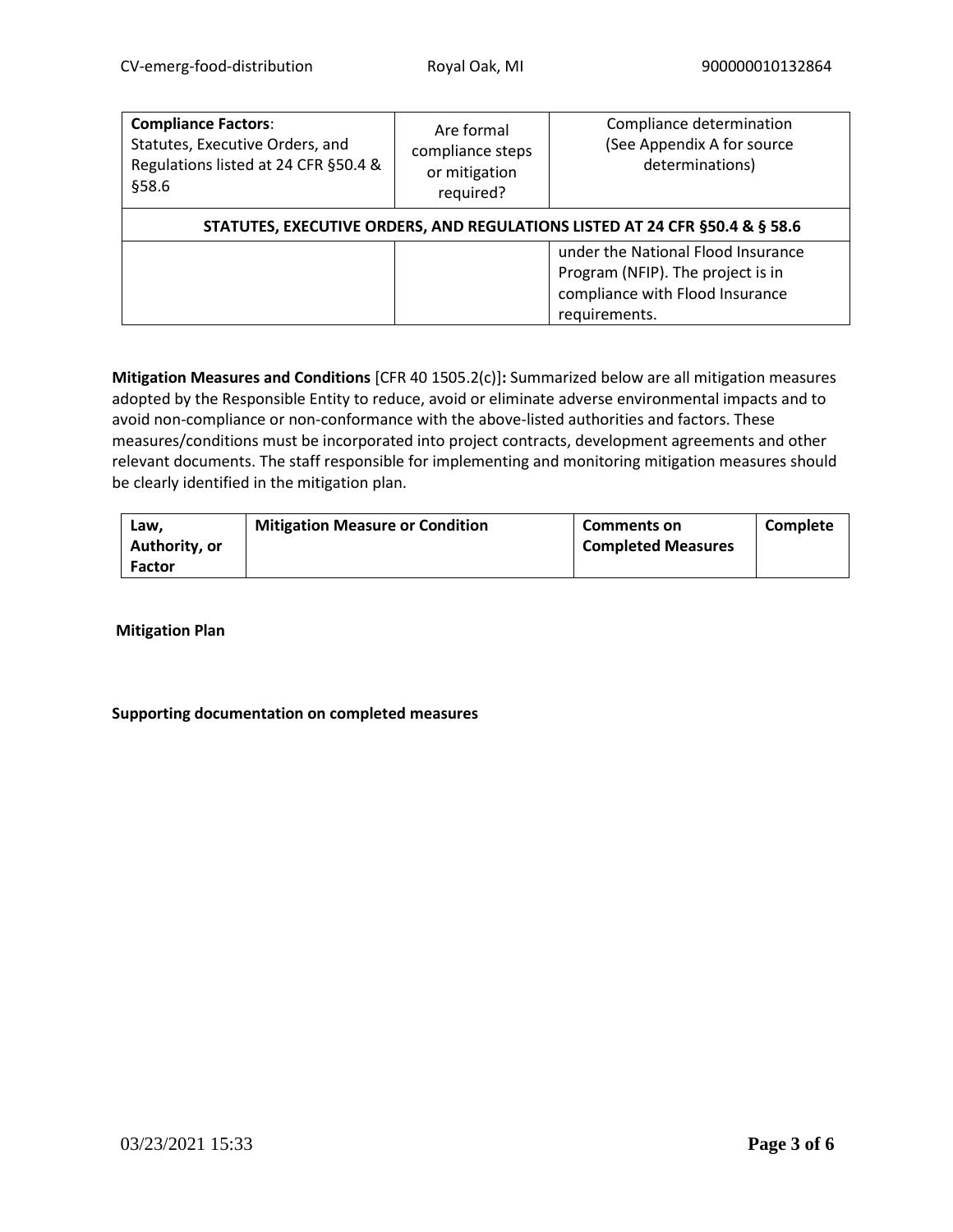| <b>Compliance Factors:</b><br>Statutes, Executive Orders, and<br>Regulations listed at 24 CFR §50.4 &<br>§58.6 | Are formal<br>compliance steps<br>or mitigation<br>required?                | Compliance determination<br>(See Appendix A for source<br>determinations)                                  |  |  |
|----------------------------------------------------------------------------------------------------------------|-----------------------------------------------------------------------------|------------------------------------------------------------------------------------------------------------|--|--|
|                                                                                                                | STATUTES, EXECUTIVE ORDERS, AND REGULATIONS LISTED AT 24 CFR §50.4 & § 58.6 |                                                                                                            |  |  |
| requirements.                                                                                                  |                                                                             | under the National Flood Insurance<br>Program (NFIP). The project is in<br>compliance with Flood Insurance |  |  |

**Mitigation Measures and Conditions** [CFR 40 1505.2(c)]**:** Summarized below are all mitigation measures adopted by the Responsible Entity to reduce, avoid or eliminate adverse environmental impacts and to avoid non-compliance or non-conformance with the above-listed authorities and factors. These measures/conditions must be incorporated into project contracts, development agreements and other relevant documents. The staff responsible for implementing and monitoring mitigation measures should be clearly identified in the mitigation plan.

| Law.<br>Authority, or | <b>Mitigation Measure or Condition</b> | <b>Comments on</b><br><b>Completed Measures</b> | Complete |
|-----------------------|----------------------------------------|-------------------------------------------------|----------|
| <b>Factor</b>         |                                        |                                                 |          |

**Mitigation Plan**

## **Supporting documentation on completed measures**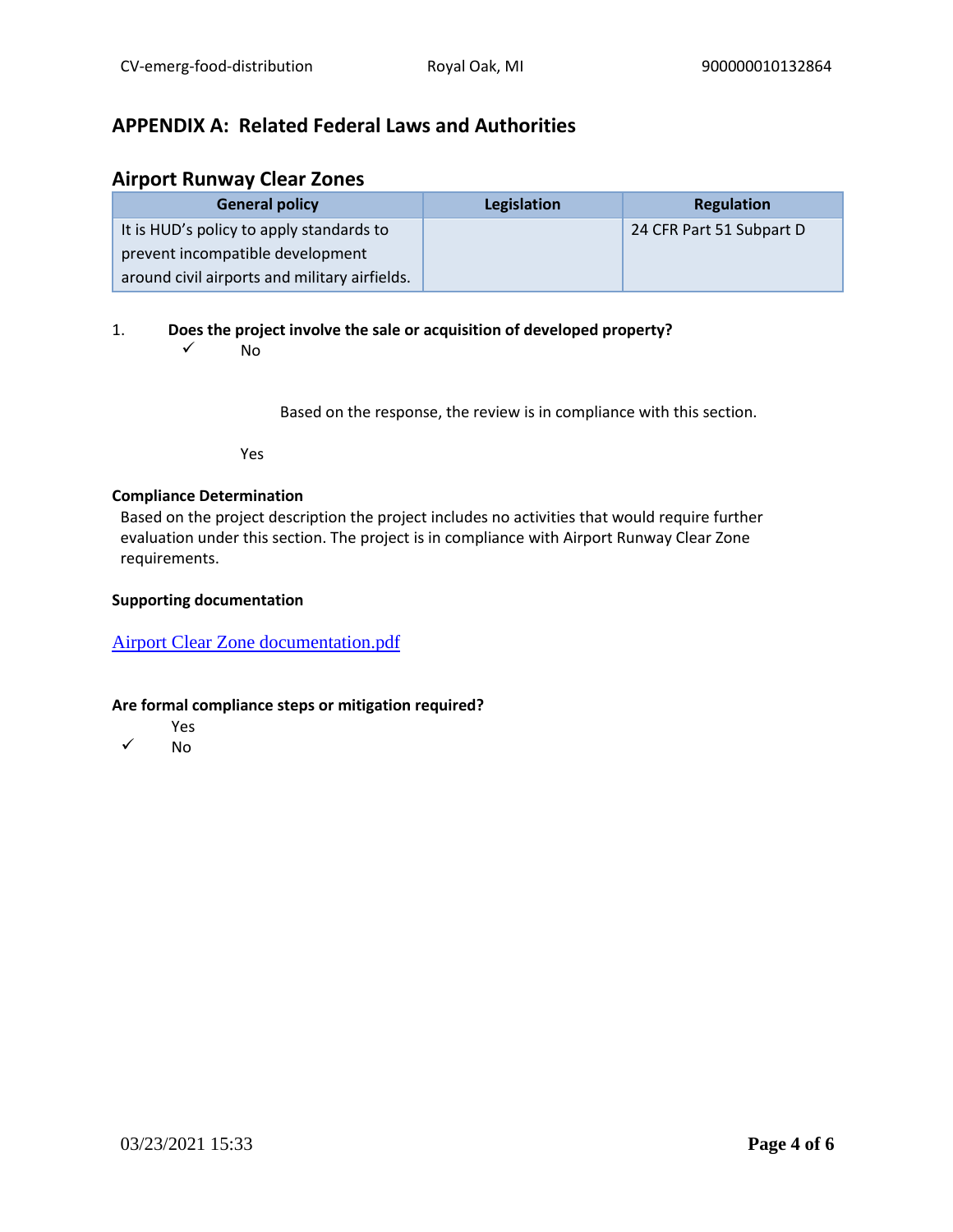# **APPENDIX A: Related Federal Laws and Authorities**

## **Airport Runway Clear Zones**

| <b>General policy</b>                         | Legislation | <b>Regulation</b>        |
|-----------------------------------------------|-------------|--------------------------|
| It is HUD's policy to apply standards to      |             | 24 CFR Part 51 Subpart D |
| prevent incompatible development              |             |                          |
| around civil airports and military airfields. |             |                          |

## 1. **Does the project involve the sale or acquisition of developed property?**

 $\sqrt{N}$ 

Based on the response, the review is in compliance with this section.

Yes

## **Compliance Determination**

Based on the project description the project includes no activities that would require further evaluation under this section. The project is in compliance with Airport Runway Clear Zone requirements.

## **Supporting documentation**

## [Airport Clear Zone documentation.pdf](https://heros.hud.gov/heros/faces/downloadFile.xhtml?erUploadId=900000010657445)

- Yes
- ✓ No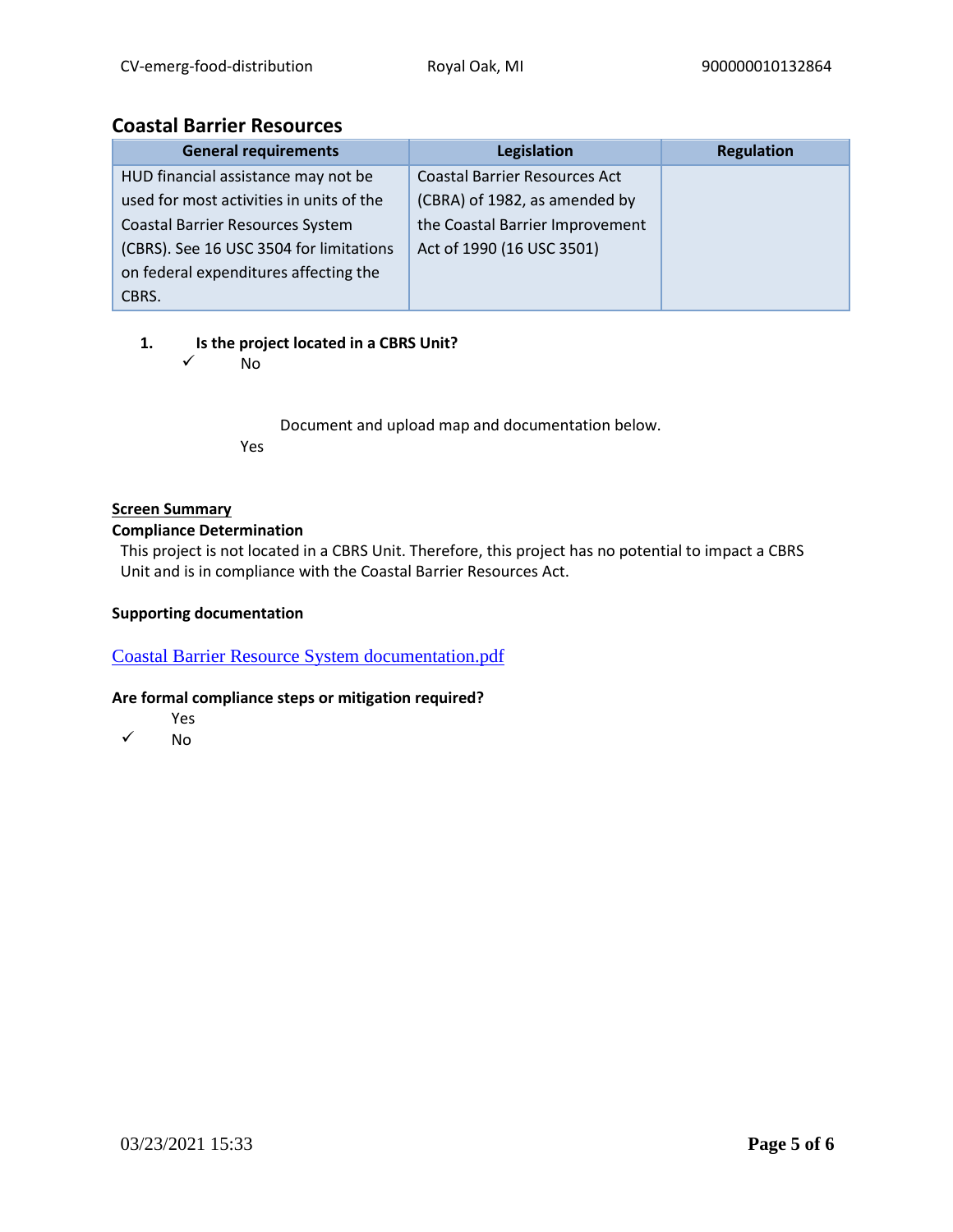## **Coastal Barrier Resources**

| <b>General requirements</b>              | Legislation                          | <b>Regulation</b> |
|------------------------------------------|--------------------------------------|-------------------|
| HUD financial assistance may not be      | <b>Coastal Barrier Resources Act</b> |                   |
| used for most activities in units of the | (CBRA) of 1982, as amended by        |                   |
| <b>Coastal Barrier Resources System</b>  | the Coastal Barrier Improvement      |                   |
| (CBRS). See 16 USC 3504 for limitations  | Act of 1990 (16 USC 3501)            |                   |
| on federal expenditures affecting the    |                                      |                   |
| CBRS.                                    |                                      |                   |

## **1. Is the project located in a CBRS Unit?**

✓ No

Document and upload map and documentation below. Yes

## **Screen Summary**

## **Compliance Determination**

This project is not located in a CBRS Unit. Therefore, this project has no potential to impact a CBRS Unit and is in compliance with the Coastal Barrier Resources Act.

## **Supporting documentation**

[Coastal Barrier Resource System documentation.pdf](https://heros.hud.gov/heros/faces/downloadFile.xhtml?erUploadId=900000010657448)

- Yes
- ✓ No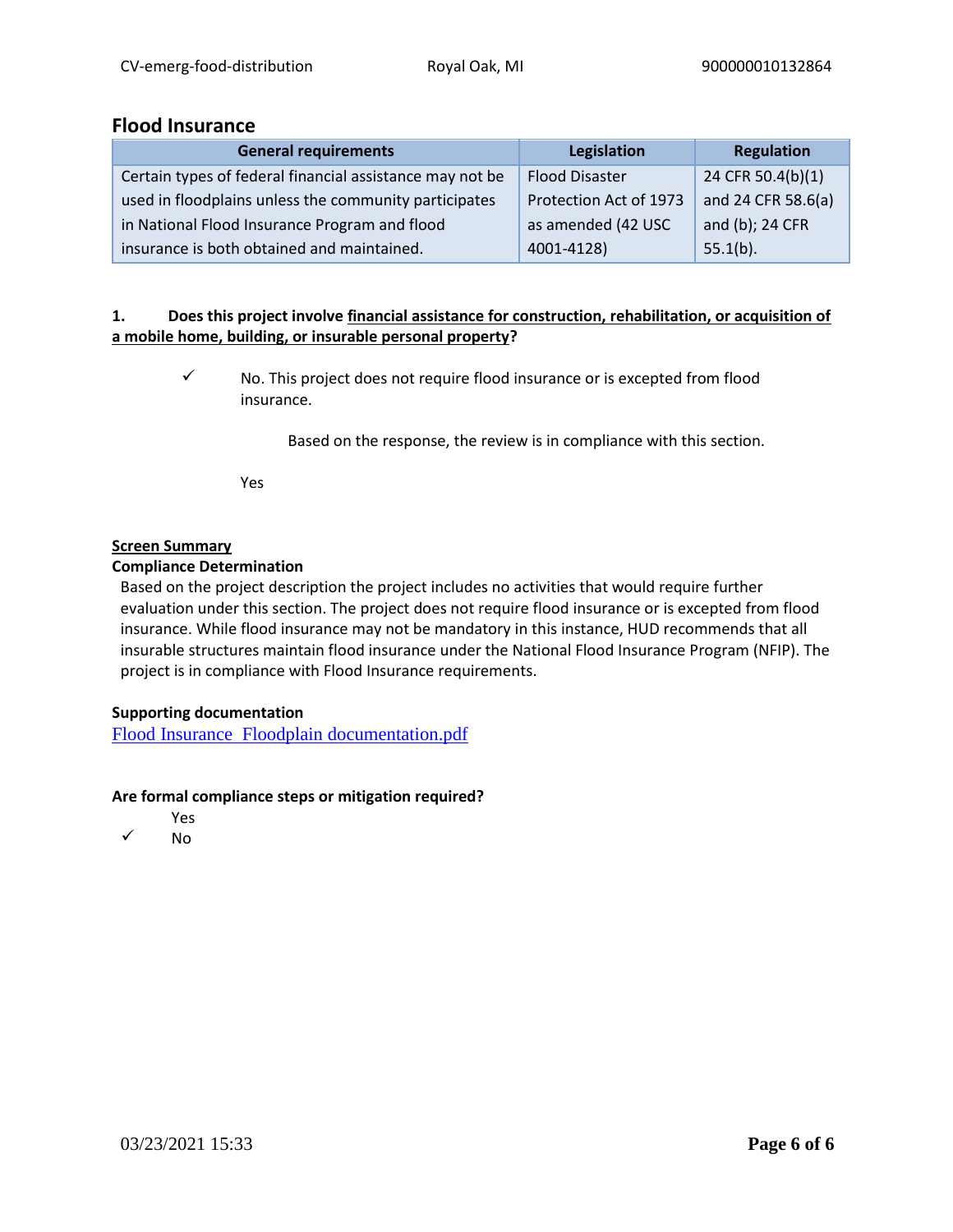## **Flood Insurance**

| <b>General requirements</b>                              | Legislation            | Regulation         |
|----------------------------------------------------------|------------------------|--------------------|
| Certain types of federal financial assistance may not be | <b>Flood Disaster</b>  | 24 CFR 50.4(b)(1)  |
| used in floodplains unless the community participates    | Protection Act of 1973 | and 24 CFR 58.6(a) |
| in National Flood Insurance Program and flood            | as amended (42 USC     | and (b); 24 CFR    |
| insurance is both obtained and maintained.               | 4001-4128)             | $55.1(b)$ .        |

## **1. Does this project involve financial assistance for construction, rehabilitation, or acquisition of a mobile home, building, or insurable personal property?**

✓ No. This project does not require flood insurance or is excepted from flood insurance.

Based on the response, the review is in compliance with this section.

Yes

## **Screen Summary**

#### **Compliance Determination**

Based on the project description the project includes no activities that would require further evaluation under this section. The project does not require flood insurance or is excepted from flood insurance. While flood insurance may not be mandatory in this instance, HUD recommends that all insurable structures maintain flood insurance under the National Flood Insurance Program (NFIP). The project is in compliance with Flood Insurance requirements.

## **Supporting documentation**

[Flood Insurance Floodplain documentation.pdf](https://heros.hud.gov/heros/faces/downloadFile.xhtml?erUploadId=900000010657449)

- Yes
- ✓ No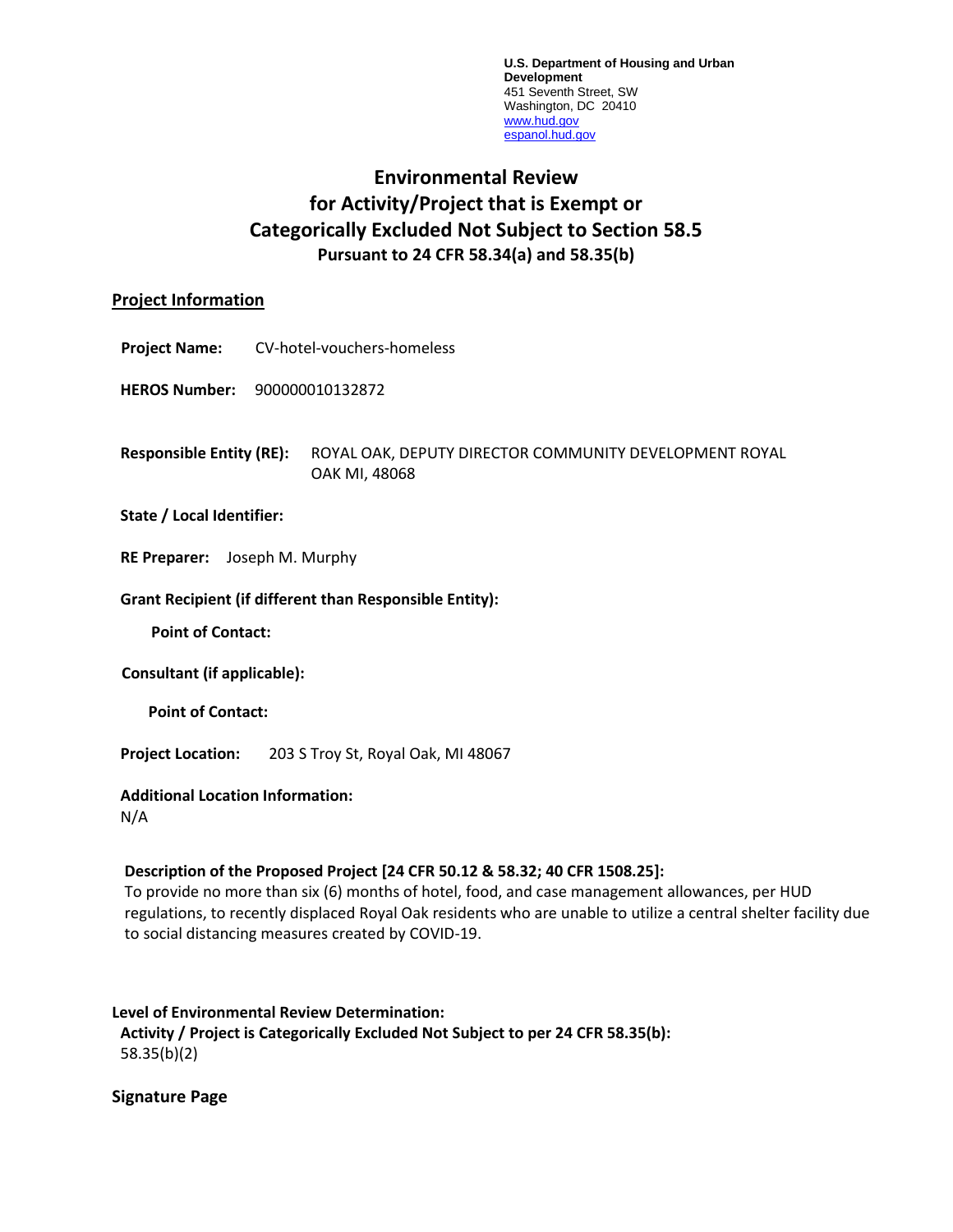**U.S. Department of Housing and Urban Development** 451 Seventh Street, SW Washington, DC 20410 [www.hud.gov](http://www.hud.gov/) [espanol.hud.gov](file:///C:/Documents%20and%20Settings/ABehl/Desktop/MicroStrategy/EMIS/Final%20EMIS/espanol.hud.gov)

# **Environmental Review for Activity/Project that is Exempt or Categorically Excluded Not Subject to Section 58.5 Pursuant to 24 CFR 58.34(a) and 58.35(b)**

## **Project Information**

**Project Name:** CV-hotel-vouchers-homeless

**HEROS Number:** 900000010132872

**Responsible Entity (RE):** ROYAL OAK, DEPUTY DIRECTOR COMMUNITY DEVELOPMENT ROYAL OAK MI, 48068

#### **State / Local Identifier:**

**RE Preparer:** Joseph M. Murphy

#### **Grant Recipient (if different than Responsible Entity):**

**Point of Contact:** 

**Consultant (if applicable):**

**Point of Contact:** 

**Project Location:** 203 S Troy St, Royal Oak, MI 48067

#### **Additional Location Information:**

N/A

## **Description of the Proposed Project [24 CFR 50.12 & 58.32; 40 CFR 1508.25]:**

To provide no more than six (6) months of hotel, food, and case management allowances, per HUD regulations, to recently displaced Royal Oak residents who are unable to utilize a central shelter facility due to social distancing measures created by COVID-19.

#### **Level of Environmental Review Determination:**

**Activity / Project is Categorically Excluded Not Subject to per 24 CFR 58.35(b):**  58.35(b)(2)

**Signature Page**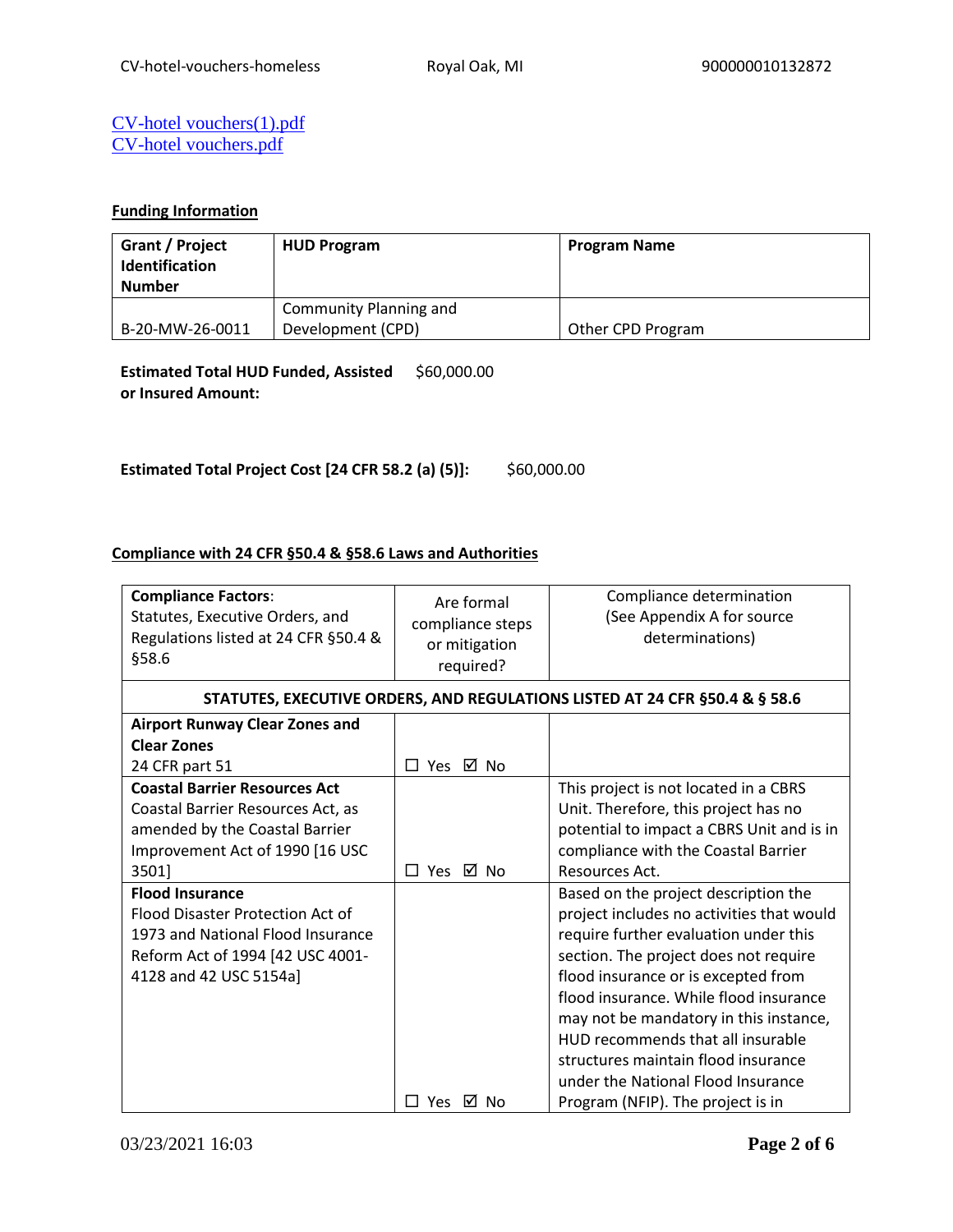## [CV-hotel vouchers\(1\).pdf](https://heros.hud.gov/heros/faces/downloadFile.xhtml?erUploadId=900000010927214) [CV-hotel vouchers.pdf](https://heros.hud.gov/heros/faces/downloadFile.xhtml?erUploadId=900000010658398)

## **Funding Information**

| Grant / Project<br><b>Identification</b><br><b>Number</b> | <b>HUD Program</b>     | <b>Program Name</b> |
|-----------------------------------------------------------|------------------------|---------------------|
|                                                           | Community Planning and |                     |
| B-20-MW-26-0011                                           | Development (CPD)      | Other CPD Program   |

**Estimated Total HUD Funded, Assisted**  \$60,000.00 **or Insured Amount:** 

**Estimated Total Project Cost [24 CFR 58.2 (a) (5)]:** \$60,000.00

## **Compliance with 24 CFR §50.4 & §58.6 Laws and Authorities**

| <b>Compliance Factors:</b><br>Statutes, Executive Orders, and<br>Regulations listed at 24 CFR §50.4 &<br>§58.6                                                | Are formal<br>compliance steps<br>or mitigation<br>required? | Compliance determination<br>(See Appendix A for source<br>determinations)                                                                                                                                                                                                                                                                                                                                                                             |
|---------------------------------------------------------------------------------------------------------------------------------------------------------------|--------------------------------------------------------------|-------------------------------------------------------------------------------------------------------------------------------------------------------------------------------------------------------------------------------------------------------------------------------------------------------------------------------------------------------------------------------------------------------------------------------------------------------|
|                                                                                                                                                               |                                                              | STATUTES, EXECUTIVE ORDERS, AND REGULATIONS LISTED AT 24 CFR §50.4 & § 58.6                                                                                                                                                                                                                                                                                                                                                                           |
| <b>Airport Runway Clear Zones and</b><br><b>Clear Zones</b><br>24 CFR part 51                                                                                 | □ Yes ☑ No                                                   |                                                                                                                                                                                                                                                                                                                                                                                                                                                       |
| <b>Coastal Barrier Resources Act</b><br>Coastal Barrier Resources Act, as<br>amended by the Coastal Barrier<br>Improvement Act of 1990 [16 USC<br>3501]       | ⊠ No<br>Yes<br>П                                             | This project is not located in a CBRS<br>Unit. Therefore, this project has no<br>potential to impact a CBRS Unit and is in<br>compliance with the Coastal Barrier<br>Resources Act.                                                                                                                                                                                                                                                                   |
| <b>Flood Insurance</b><br>Flood Disaster Protection Act of<br>1973 and National Flood Insurance<br>Reform Act of 1994 [42 USC 4001-<br>4128 and 42 USC 5154a] | Yes ⊠ No<br>П                                                | Based on the project description the<br>project includes no activities that would<br>require further evaluation under this<br>section. The project does not require<br>flood insurance or is excepted from<br>flood insurance. While flood insurance<br>may not be mandatory in this instance,<br>HUD recommends that all insurable<br>structures maintain flood insurance<br>under the National Flood Insurance<br>Program (NFIP). The project is in |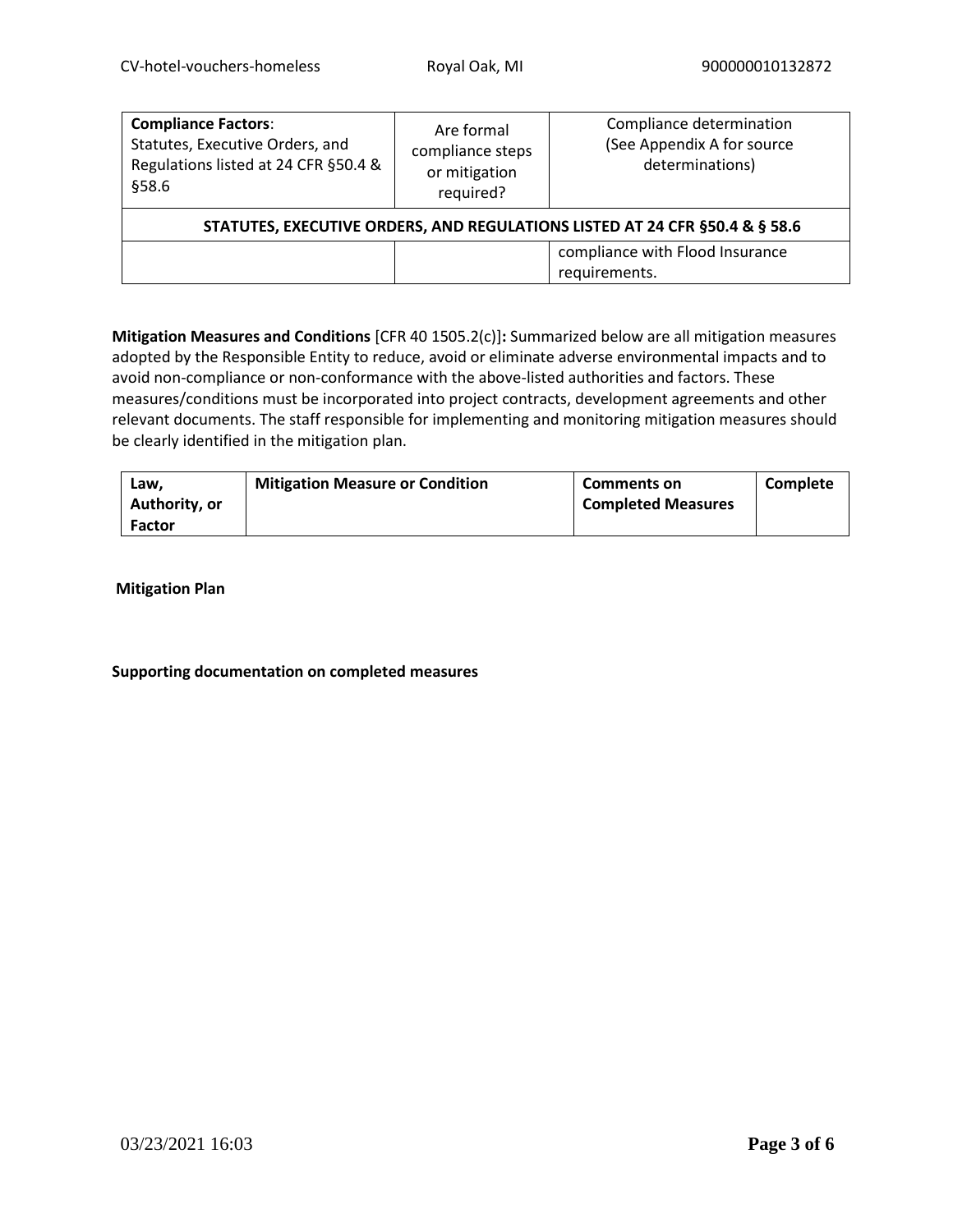| <b>Compliance Factors:</b><br>Statutes, Executive Orders, and<br>Regulations listed at 24 CFR §50.4 &<br>§58.6 | Are formal<br>compliance steps<br>or mitigation<br>required? | Compliance determination<br>(See Appendix A for source<br>determinations) |  |  |
|----------------------------------------------------------------------------------------------------------------|--------------------------------------------------------------|---------------------------------------------------------------------------|--|--|
| STATUTES, EXECUTIVE ORDERS, AND REGULATIONS LISTED AT 24 CFR §50.4 & § 58.6                                    |                                                              |                                                                           |  |  |
|                                                                                                                |                                                              | compliance with Flood Insurance<br>requirements.                          |  |  |

**Mitigation Measures and Conditions** [CFR 40 1505.2(c)]**:** Summarized below are all mitigation measures adopted by the Responsible Entity to reduce, avoid or eliminate adverse environmental impacts and to avoid non-compliance or non-conformance with the above-listed authorities and factors. These measures/conditions must be incorporated into project contracts, development agreements and other relevant documents. The staff responsible for implementing and monitoring mitigation measures should be clearly identified in the mitigation plan.

| Law.          | <b>Mitigation Measure or Condition</b> | <b>Comments on</b>        | Complete |
|---------------|----------------------------------------|---------------------------|----------|
| Authority, or |                                        | <b>Completed Measures</b> |          |
| <b>Factor</b> |                                        |                           |          |

**Mitigation Plan**

## **Supporting documentation on completed measures**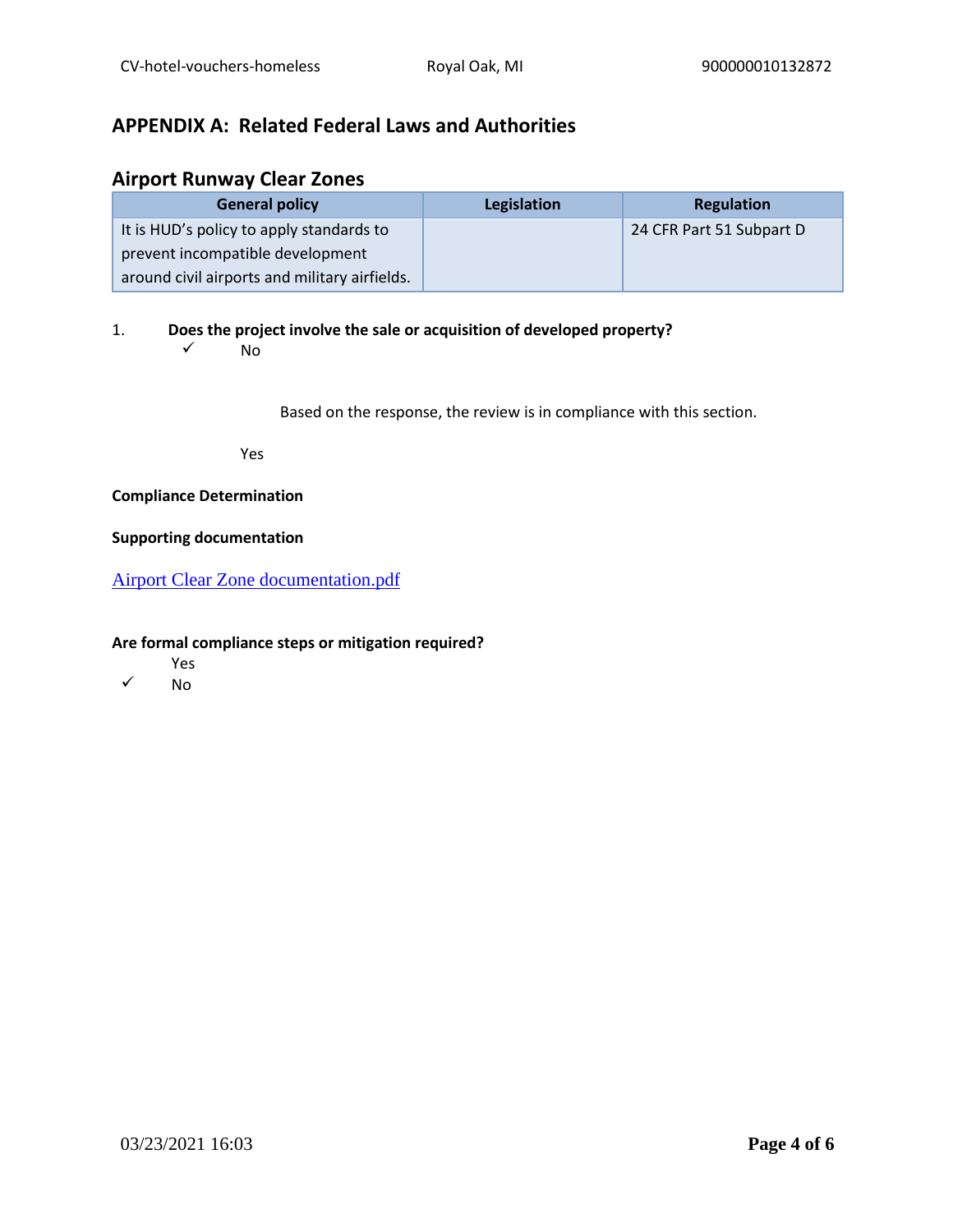# **APPENDIX A: Related Federal Laws and Authorities**

## **Airport Runway Clear Zones**

| <b>General policy</b>                         | Legislation | <b>Regulation</b>        |
|-----------------------------------------------|-------------|--------------------------|
| It is HUD's policy to apply standards to      |             | 24 CFR Part 51 Subpart D |
| prevent incompatible development              |             |                          |
| around civil airports and military airfields. |             |                          |

1. **Does the project involve the sale or acquisition of developed property?** 

 $\sqrt{N}$ 

Based on the response, the review is in compliance with this section.

Yes

## **Compliance Determination**

### **Supporting documentation**

[Airport Clear Zone documentation.pdf](https://heros.hud.gov/heros/faces/downloadFile.xhtml?erUploadId=900000010657463)

- Yes
- ✓ No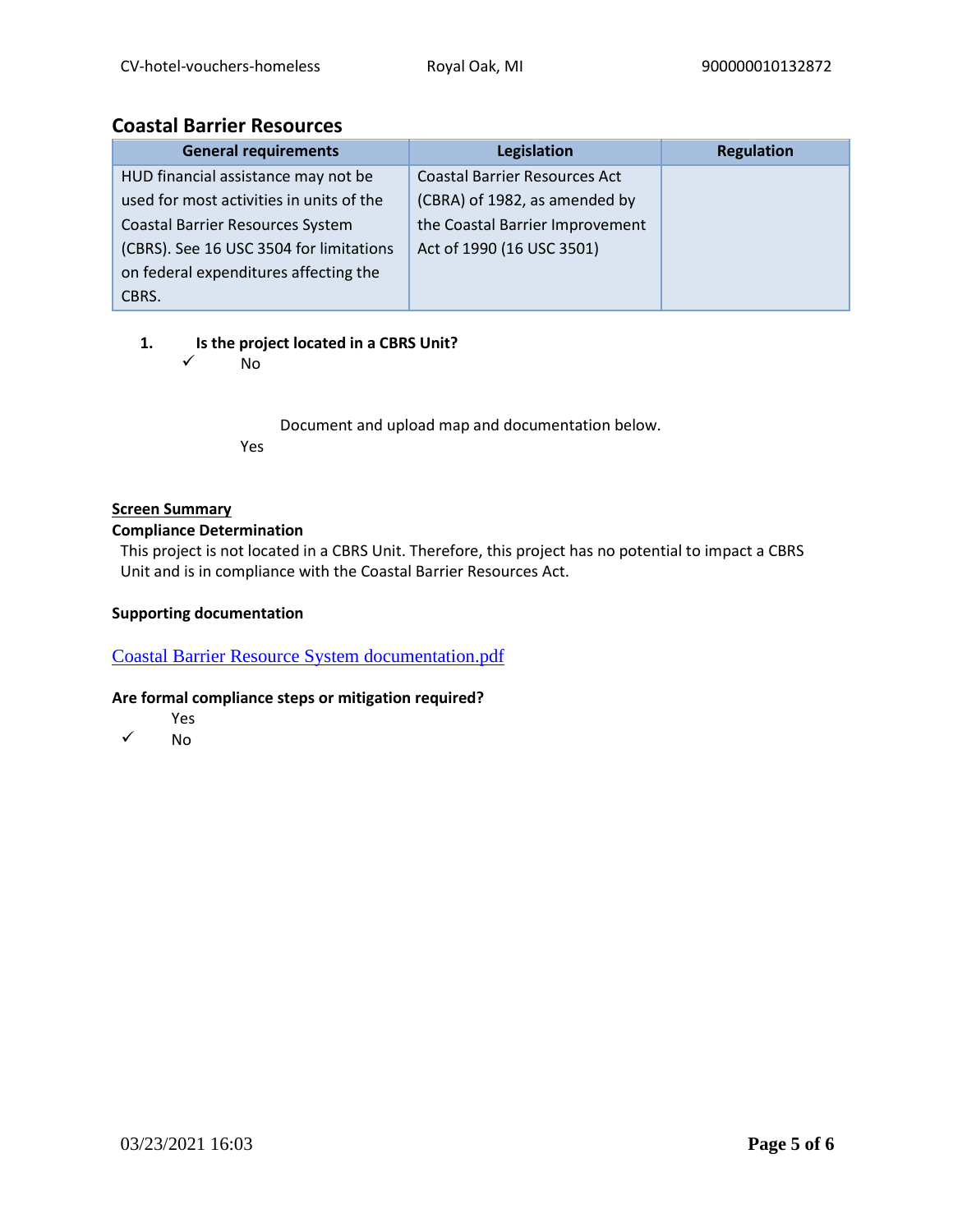## **Coastal Barrier Resources**

| <b>General requirements</b>              | Legislation                          | <b>Regulation</b> |
|------------------------------------------|--------------------------------------|-------------------|
| HUD financial assistance may not be      | <b>Coastal Barrier Resources Act</b> |                   |
| used for most activities in units of the | (CBRA) of 1982, as amended by        |                   |
| <b>Coastal Barrier Resources System</b>  | the Coastal Barrier Improvement      |                   |
| (CBRS). See 16 USC 3504 for limitations  | Act of 1990 (16 USC 3501)            |                   |
| on federal expenditures affecting the    |                                      |                   |
| CBRS.                                    |                                      |                   |

## **1. Is the project located in a CBRS Unit?**

✓ No

Document and upload map and documentation below. Yes

## **Screen Summary**

## **Compliance Determination**

This project is not located in a CBRS Unit. Therefore, this project has no potential to impact a CBRS Unit and is in compliance with the Coastal Barrier Resources Act.

## **Supporting documentation**

[Coastal Barrier Resource System documentation.pdf](https://heros.hud.gov/heros/faces/downloadFile.xhtml?erUploadId=900000010657466)

- Yes
- ✓ No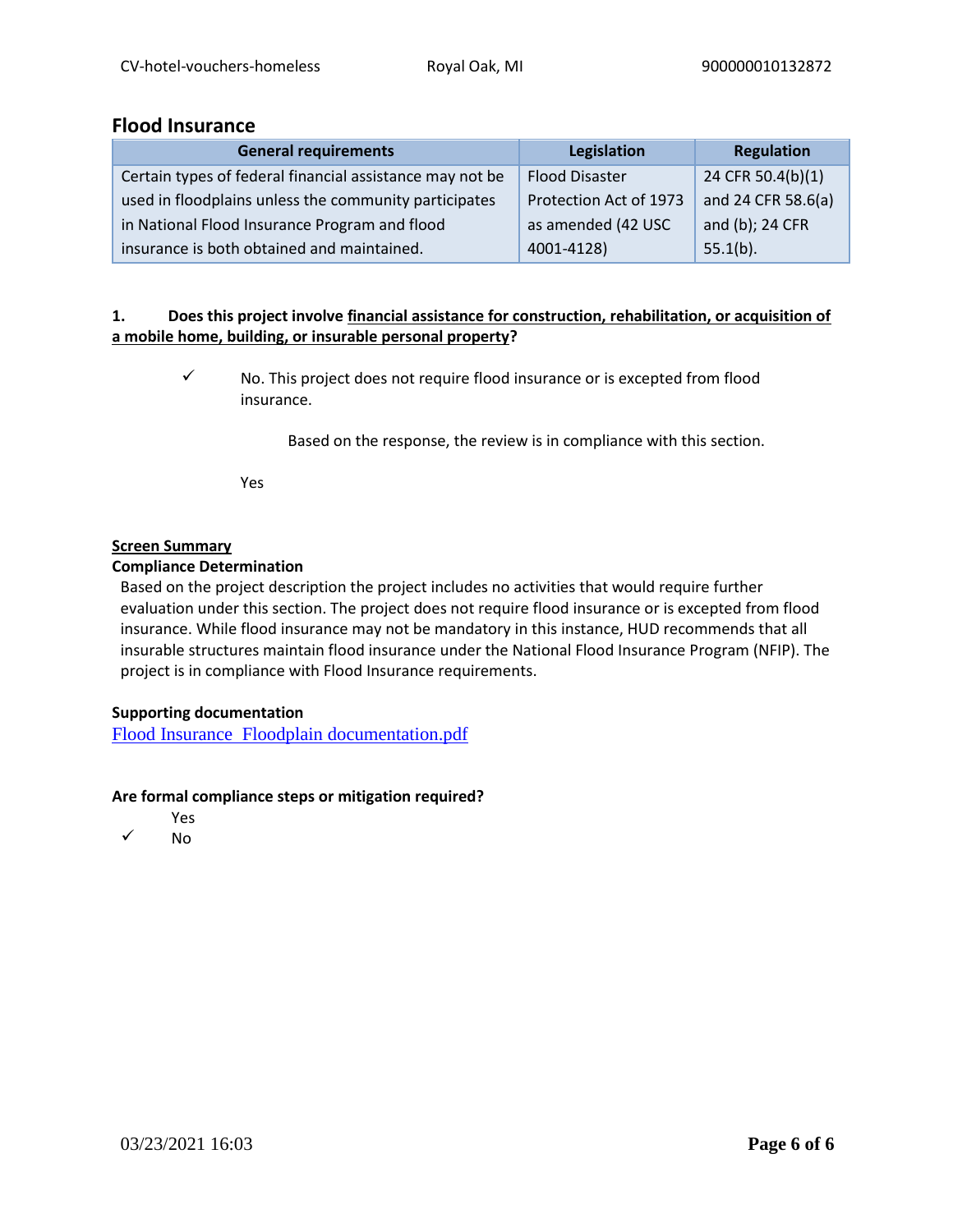## **Flood Insurance**

| <b>General requirements</b>                              | Legislation            | Regulation         |
|----------------------------------------------------------|------------------------|--------------------|
| Certain types of federal financial assistance may not be | <b>Flood Disaster</b>  | 24 CFR 50.4(b)(1)  |
| used in floodplains unless the community participates    | Protection Act of 1973 | and 24 CFR 58.6(a) |
| in National Flood Insurance Program and flood            | as amended (42 USC     | and (b); 24 CFR    |
| insurance is both obtained and maintained.               | 4001-4128)             | $55.1(b)$ .        |

## **1. Does this project involve financial assistance for construction, rehabilitation, or acquisition of a mobile home, building, or insurable personal property?**

✓ No. This project does not require flood insurance or is excepted from flood insurance.

Based on the response, the review is in compliance with this section.

Yes

## **Screen Summary**

## **Compliance Determination**

Based on the project description the project includes no activities that would require further evaluation under this section. The project does not require flood insurance or is excepted from flood insurance. While flood insurance may not be mandatory in this instance, HUD recommends that all insurable structures maintain flood insurance under the National Flood Insurance Program (NFIP). The project is in compliance with Flood Insurance requirements.

## **Supporting documentation**

[Flood Insurance Floodplain documentation.pdf](https://heros.hud.gov/heros/faces/downloadFile.xhtml?erUploadId=900000010657470)

- Yes
- ✓ No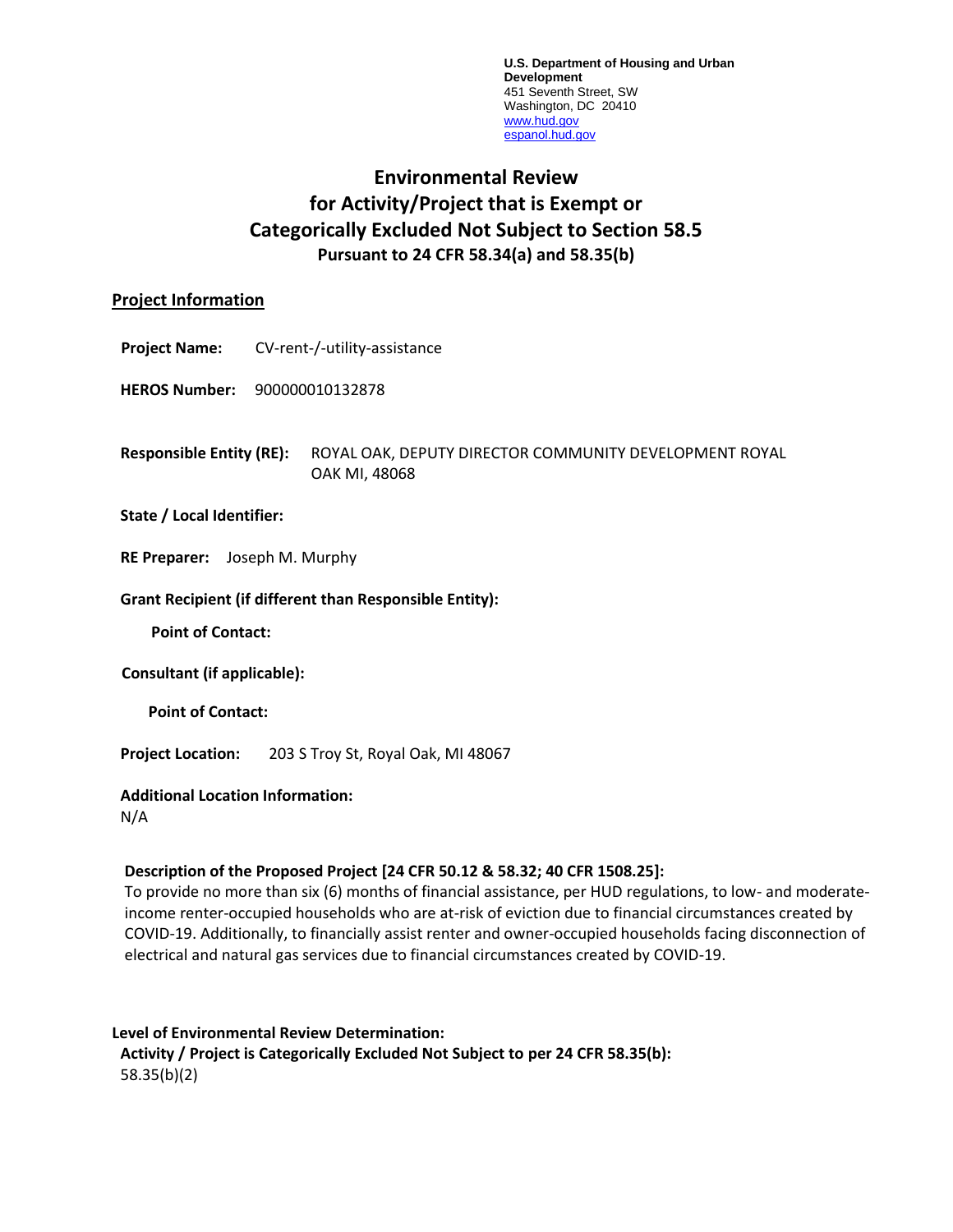**U.S. Department of Housing and Urban Development** 451 Seventh Street, SW Washington, DC 20410 [www.hud.gov](http://www.hud.gov/) [espanol.hud.gov](file:///C:/Documents%20and%20Settings/ABehl/Desktop/MicroStrategy/EMIS/Final%20EMIS/espanol.hud.gov)

# **Environmental Review for Activity/Project that is Exempt or Categorically Excluded Not Subject to Section 58.5 Pursuant to 24 CFR 58.34(a) and 58.35(b)**

## **Project Information**

**Project Name:** CV-rent-/-utility-assistance

**HEROS Number:** 900000010132878

**Responsible Entity (RE):** ROYAL OAK, DEPUTY DIRECTOR COMMUNITY DEVELOPMENT ROYAL OAK MI, 48068

## **State / Local Identifier:**

**RE Preparer:** Joseph M. Murphy

#### **Grant Recipient (if different than Responsible Entity):**

**Point of Contact:** 

**Consultant (if applicable):**

**Point of Contact:** 

**Project Location:** 203 S Troy St, Royal Oak, MI 48067

## **Additional Location Information:**

N/A

## **Description of the Proposed Project [24 CFR 50.12 & 58.32; 40 CFR 1508.25]:**

To provide no more than six (6) months of financial assistance, per HUD regulations, to low- and moderateincome renter-occupied households who are at-risk of eviction due to financial circumstances created by COVID-19. Additionally, to financially assist renter and owner-occupied households facing disconnection of electrical and natural gas services due to financial circumstances created by COVID-19.

## **Level of Environmental Review Determination: Activity / Project is Categorically Excluded Not Subject to per 24 CFR 58.35(b):**  58.35(b)(2)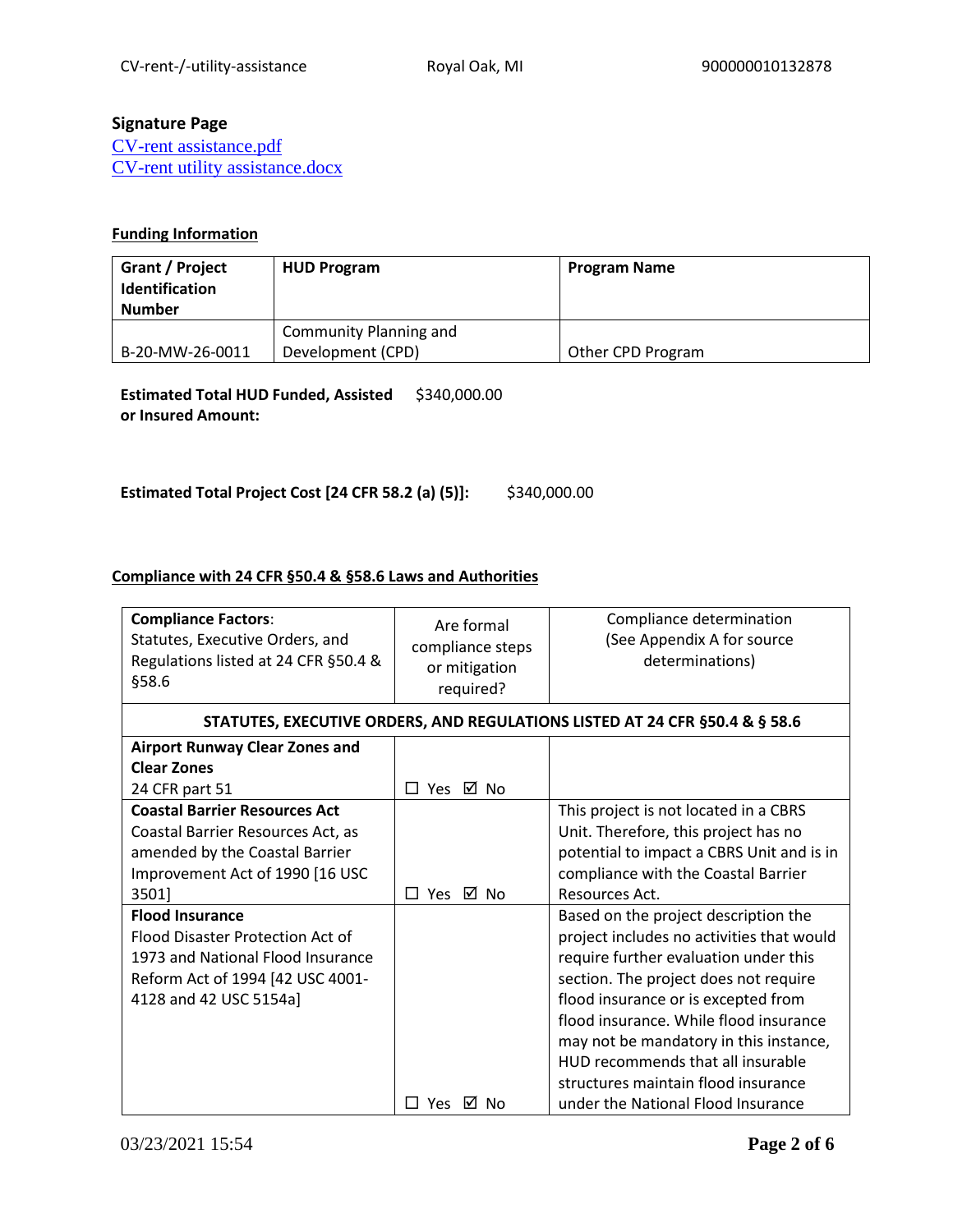## **Signature Page**

[CV-rent assistance.pdf](https://heros.hud.gov/heros/faces/downloadFile.xhtml?erUploadId=900000010927201) [CV-rent utility assistance.docx](https://heros.hud.gov/heros/faces/downloadFile.xhtml?erUploadId=900000010658400)

## **Funding Information**

| Grant / Project<br>Identification<br>Number | <b>HUD Program</b>     | <b>Program Name</b> |
|---------------------------------------------|------------------------|---------------------|
|                                             | Community Planning and |                     |
| B-20-MW-26-0011                             | Development (CPD)      | Other CPD Program   |

**Estimated Total HUD Funded, Assisted**  \$340,000.00 **or Insured Amount:** 

**Estimated Total Project Cost [24 CFR 58.2 (a) (5)]:** \$340,000.00

## **Compliance with 24 CFR §50.4 & §58.6 Laws and Authorities**

| <b>Compliance Factors:</b><br>Statutes, Executive Orders, and<br>Regulations listed at 24 CFR §50.4 &<br>§58.6                                                | Are formal<br>compliance steps<br>or mitigation<br>required? | Compliance determination<br>(See Appendix A for source<br>determinations)                                                                                                                                                                                                                                                                                                  |
|---------------------------------------------------------------------------------------------------------------------------------------------------------------|--------------------------------------------------------------|----------------------------------------------------------------------------------------------------------------------------------------------------------------------------------------------------------------------------------------------------------------------------------------------------------------------------------------------------------------------------|
|                                                                                                                                                               |                                                              | STATUTES, EXECUTIVE ORDERS, AND REGULATIONS LISTED AT 24 CFR §50.4 & § 58.6                                                                                                                                                                                                                                                                                                |
| <b>Airport Runway Clear Zones and</b>                                                                                                                         |                                                              |                                                                                                                                                                                                                                                                                                                                                                            |
| <b>Clear Zones</b>                                                                                                                                            |                                                              |                                                                                                                                                                                                                                                                                                                                                                            |
| 24 CFR part 51                                                                                                                                                | □ Yes ☑ No                                                   |                                                                                                                                                                                                                                                                                                                                                                            |
| <b>Coastal Barrier Resources Act</b>                                                                                                                          |                                                              | This project is not located in a CBRS                                                                                                                                                                                                                                                                                                                                      |
| Coastal Barrier Resources Act, as                                                                                                                             |                                                              | Unit. Therefore, this project has no                                                                                                                                                                                                                                                                                                                                       |
| amended by the Coastal Barrier                                                                                                                                |                                                              | potential to impact a CBRS Unit and is in                                                                                                                                                                                                                                                                                                                                  |
| Improvement Act of 1990 [16 USC                                                                                                                               |                                                              | compliance with the Coastal Barrier                                                                                                                                                                                                                                                                                                                                        |
| 3501]                                                                                                                                                         | ⊠ No<br>$\square$ Yes                                        | Resources Act.                                                                                                                                                                                                                                                                                                                                                             |
| <b>Flood Insurance</b><br>Flood Disaster Protection Act of<br>1973 and National Flood Insurance<br>Reform Act of 1994 [42 USC 4001-<br>4128 and 42 USC 5154a] |                                                              | Based on the project description the<br>project includes no activities that would<br>require further evaluation under this<br>section. The project does not require<br>flood insurance or is excepted from<br>flood insurance. While flood insurance<br>may not be mandatory in this instance,<br>HUD recommends that all insurable<br>structures maintain flood insurance |
|                                                                                                                                                               | П<br>Yes<br>M No                                             | under the National Flood Insurance                                                                                                                                                                                                                                                                                                                                         |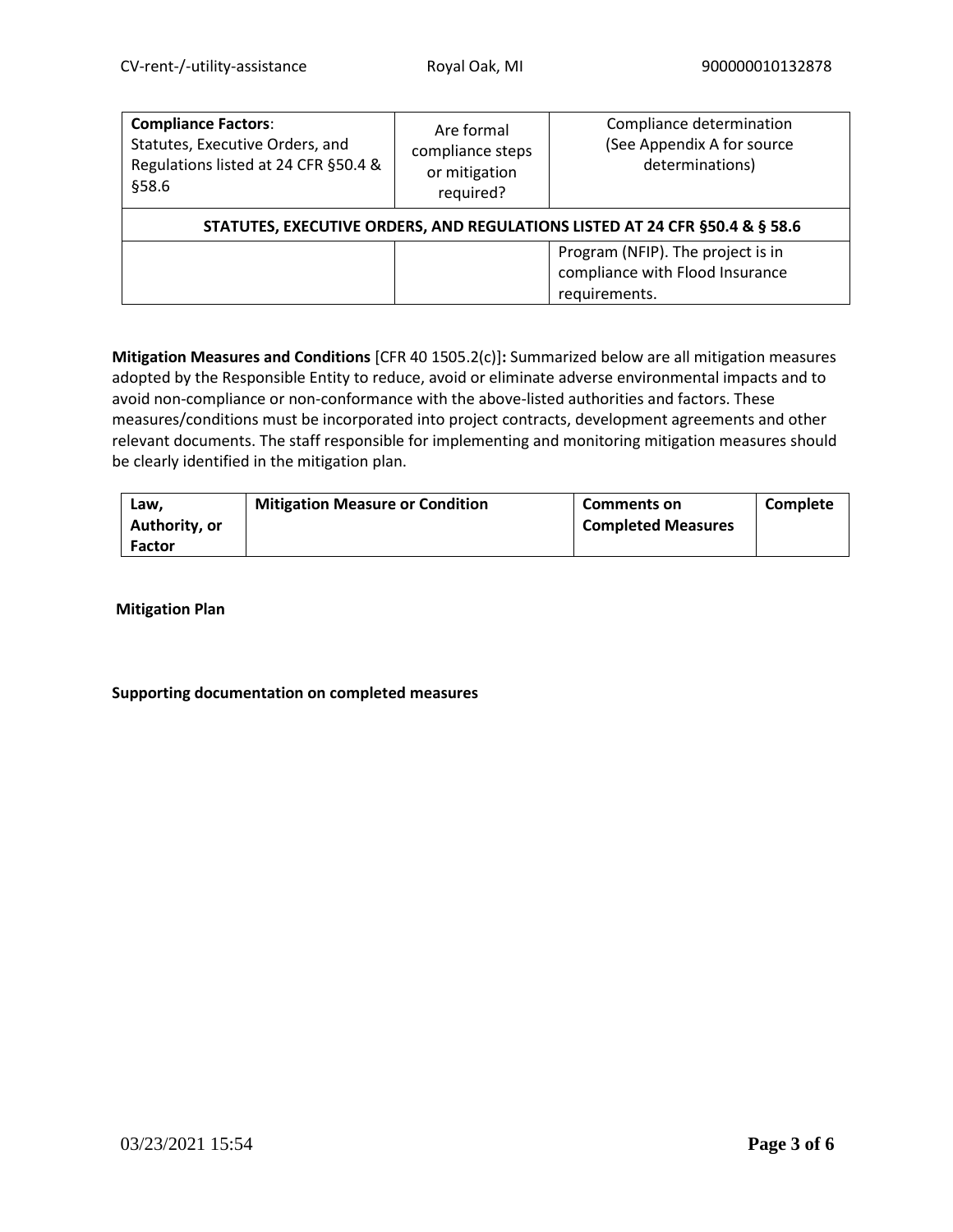| <b>Compliance Factors:</b><br>Statutes, Executive Orders, and<br>Regulations listed at 24 CFR §50.4 &<br>§58.6 | Are formal<br>compliance steps<br>or mitigation<br>required? | Compliance determination<br>(See Appendix A for source<br>determinations)             |
|----------------------------------------------------------------------------------------------------------------|--------------------------------------------------------------|---------------------------------------------------------------------------------------|
| STATUTES, EXECUTIVE ORDERS, AND REGULATIONS LISTED AT 24 CFR § 50.4 & § 58.6                                   |                                                              |                                                                                       |
|                                                                                                                |                                                              | Program (NFIP). The project is in<br>compliance with Flood Insurance<br>requirements. |

**Mitigation Measures and Conditions** [CFR 40 1505.2(c)]**:** Summarized below are all mitigation measures adopted by the Responsible Entity to reduce, avoid or eliminate adverse environmental impacts and to avoid non-compliance or non-conformance with the above-listed authorities and factors. These measures/conditions must be incorporated into project contracts, development agreements and other relevant documents. The staff responsible for implementing and monitoring mitigation measures should be clearly identified in the mitigation plan.

| Law.<br>Authority, or | <b>Mitigation Measure or Condition</b> | <b>Comments on</b><br><b>Completed Measures</b> | Complete |
|-----------------------|----------------------------------------|-------------------------------------------------|----------|
| <b>Factor</b>         |                                        |                                                 |          |

**Mitigation Plan**

## **Supporting documentation on completed measures**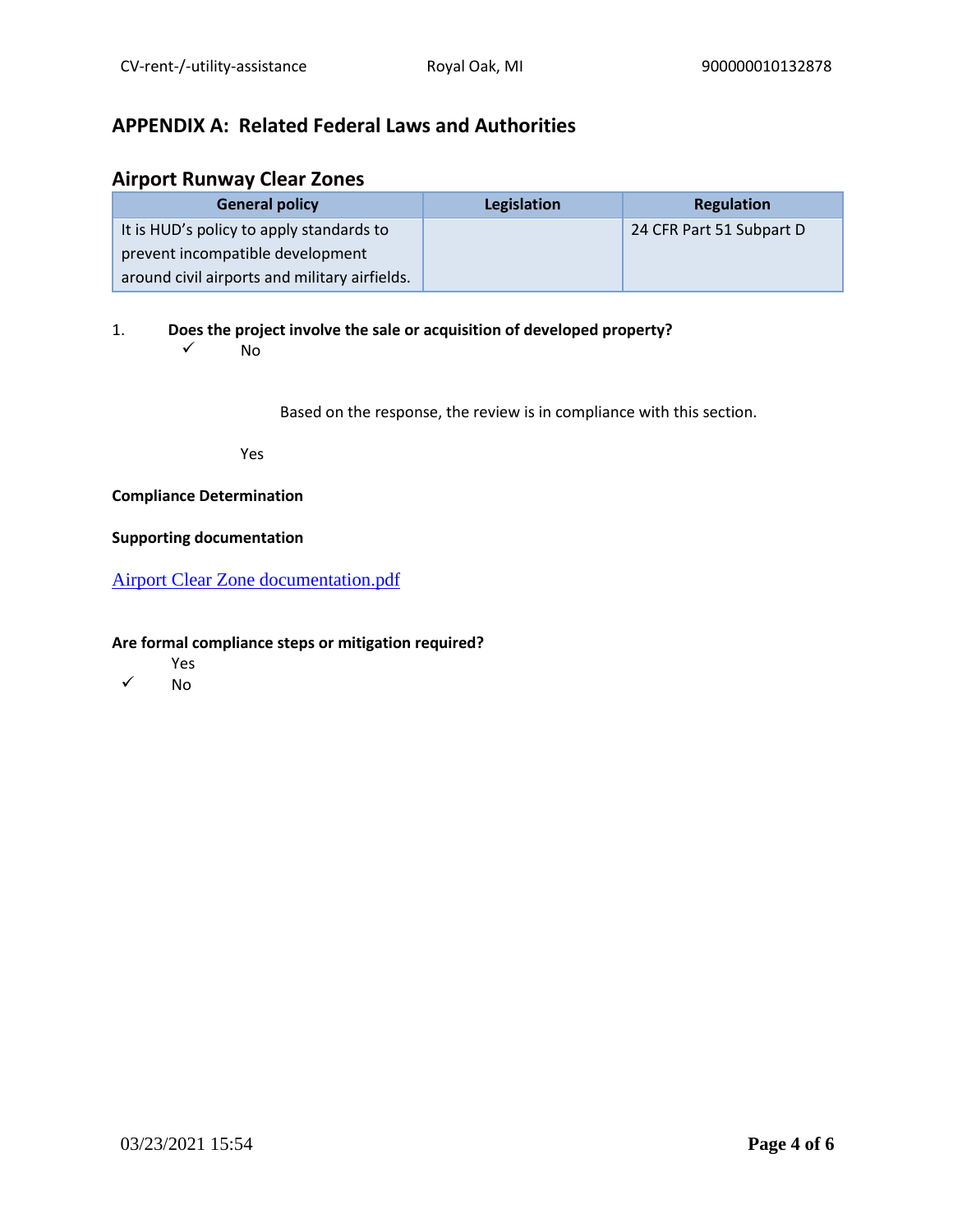# **APPENDIX A: Related Federal Laws and Authorities**

## **Airport Runway Clear Zones**

| <b>General policy</b>                         | Legislation | Regulation               |
|-----------------------------------------------|-------------|--------------------------|
| It is HUD's policy to apply standards to      |             | 24 CFR Part 51 Subpart D |
| prevent incompatible development              |             |                          |
| around civil airports and military airfields. |             |                          |

1. **Does the project involve the sale or acquisition of developed property?** 

 $\sqrt{N}$ 

Based on the response, the review is in compliance with this section.

Yes

## **Compliance Determination**

### **Supporting documentation**

[Airport Clear Zone documentation.pdf](https://heros.hud.gov/heros/faces/downloadFile.xhtml?erUploadId=900000010657476)

- Yes
- ✓ No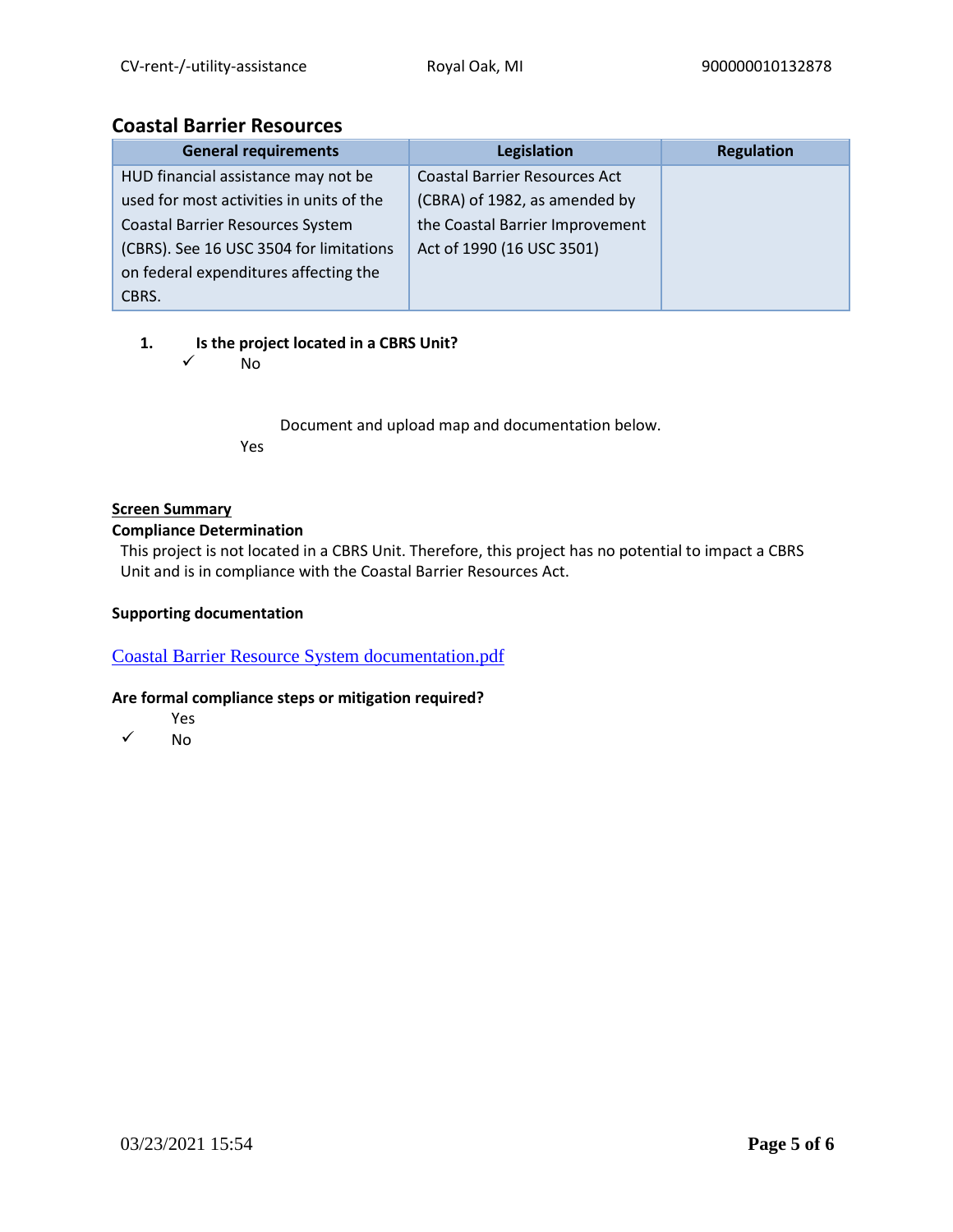## **Coastal Barrier Resources**

| <b>General requirements</b>              | Legislation                          | <b>Regulation</b> |
|------------------------------------------|--------------------------------------|-------------------|
| HUD financial assistance may not be      | <b>Coastal Barrier Resources Act</b> |                   |
| used for most activities in units of the | (CBRA) of 1982, as amended by        |                   |
| <b>Coastal Barrier Resources System</b>  | the Coastal Barrier Improvement      |                   |
| (CBRS). See 16 USC 3504 for limitations  | Act of 1990 (16 USC 3501)            |                   |
| on federal expenditures affecting the    |                                      |                   |
| CBRS.                                    |                                      |                   |

## **1. Is the project located in a CBRS Unit?**

✓ No

Document and upload map and documentation below. Yes

## **Screen Summary**

## **Compliance Determination**

This project is not located in a CBRS Unit. Therefore, this project has no potential to impact a CBRS Unit and is in compliance with the Coastal Barrier Resources Act.

## **Supporting documentation**

[Coastal Barrier Resource System documentation.pdf](https://heros.hud.gov/heros/faces/downloadFile.xhtml?erUploadId=900000010657478)

- Yes
- ✓ No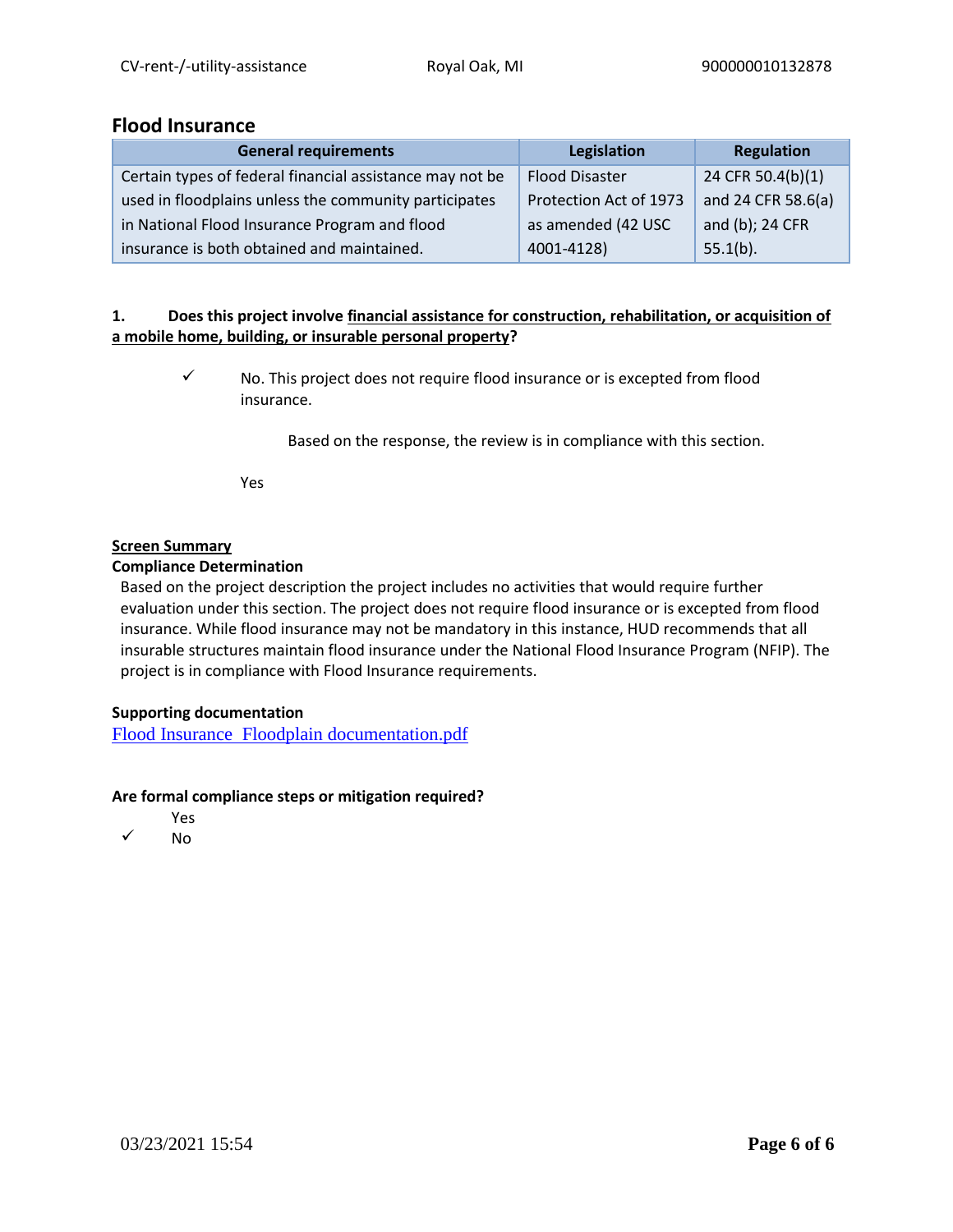## **Flood Insurance**

| <b>General requirements</b>                              | Legislation            | Regulation         |
|----------------------------------------------------------|------------------------|--------------------|
| Certain types of federal financial assistance may not be | <b>Flood Disaster</b>  | 24 CFR 50.4(b)(1)  |
| used in floodplains unless the community participates    | Protection Act of 1973 | and 24 CFR 58.6(a) |
| in National Flood Insurance Program and flood            | as amended (42 USC     | and (b); 24 CFR    |
| insurance is both obtained and maintained.               | 4001-4128)             | $55.1(b)$ .        |

## **1. Does this project involve financial assistance for construction, rehabilitation, or acquisition of a mobile home, building, or insurable personal property?**

✓ No. This project does not require flood insurance or is excepted from flood insurance.

Based on the response, the review is in compliance with this section.

Yes

## **Screen Summary**

#### **Compliance Determination**

Based on the project description the project includes no activities that would require further evaluation under this section. The project does not require flood insurance or is excepted from flood insurance. While flood insurance may not be mandatory in this instance, HUD recommends that all insurable structures maintain flood insurance under the National Flood Insurance Program (NFIP). The project is in compliance with Flood Insurance requirements.

## **Supporting documentation**

[Flood Insurance Floodplain documentation.pdf](https://heros.hud.gov/heros/faces/downloadFile.xhtml?erUploadId=900000010657479)

- Yes
- ✓ No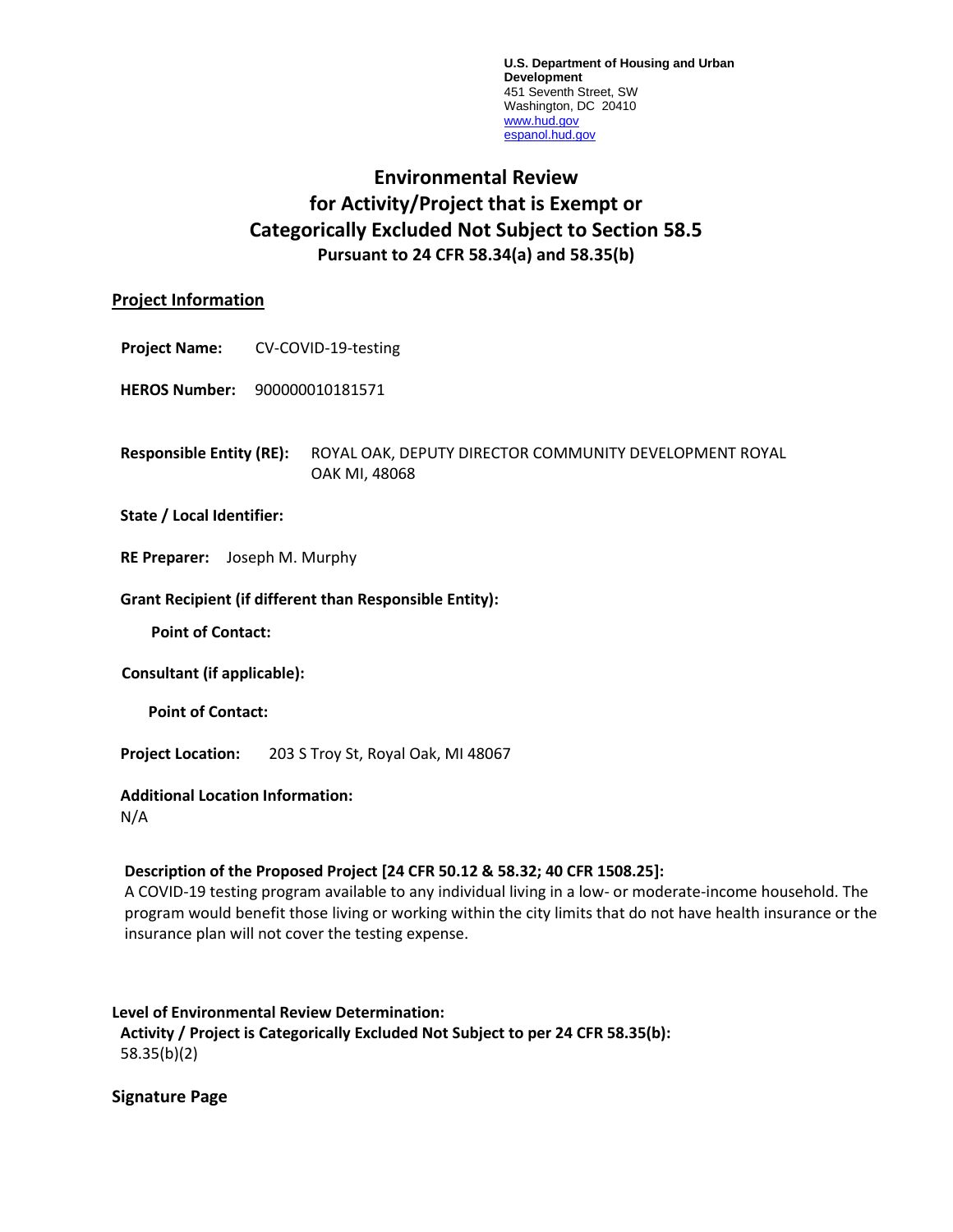**U.S. Department of Housing and Urban Development** 451 Seventh Street, SW Washington, DC 20410 [www.hud.gov](http://www.hud.gov/) [espanol.hud.gov](file:///C:/Documents%20and%20Settings/ABehl/Desktop/MicroStrategy/EMIS/Final%20EMIS/espanol.hud.gov)

# **Environmental Review for Activity/Project that is Exempt or Categorically Excluded Not Subject to Section 58.5 Pursuant to 24 CFR 58.34(a) and 58.35(b)**

## **Project Information**

**Project Name:** CV-COVID-19-testing

**HEROS Number:** 900000010181571

**Responsible Entity (RE):** ROYAL OAK, DEPUTY DIRECTOR COMMUNITY DEVELOPMENT ROYAL OAK MI, 48068

#### **State / Local Identifier:**

**RE Preparer:** Joseph M. Murphy

#### **Grant Recipient (if different than Responsible Entity):**

**Point of Contact:** 

**Consultant (if applicable):**

**Point of Contact:** 

**Project Location:** 203 S Troy St, Royal Oak, MI 48067

## **Additional Location Information:**

N/A

## **Description of the Proposed Project [24 CFR 50.12 & 58.32; 40 CFR 1508.25]:**

A COVID-19 testing program available to any individual living in a low- or moderate-income household. The program would benefit those living or working within the city limits that do not have health insurance or the insurance plan will not cover the testing expense.

#### **Level of Environmental Review Determination:**

**Activity / Project is Categorically Excluded Not Subject to per 24 CFR 58.35(b):**  58.35(b)(2)

**Signature Page**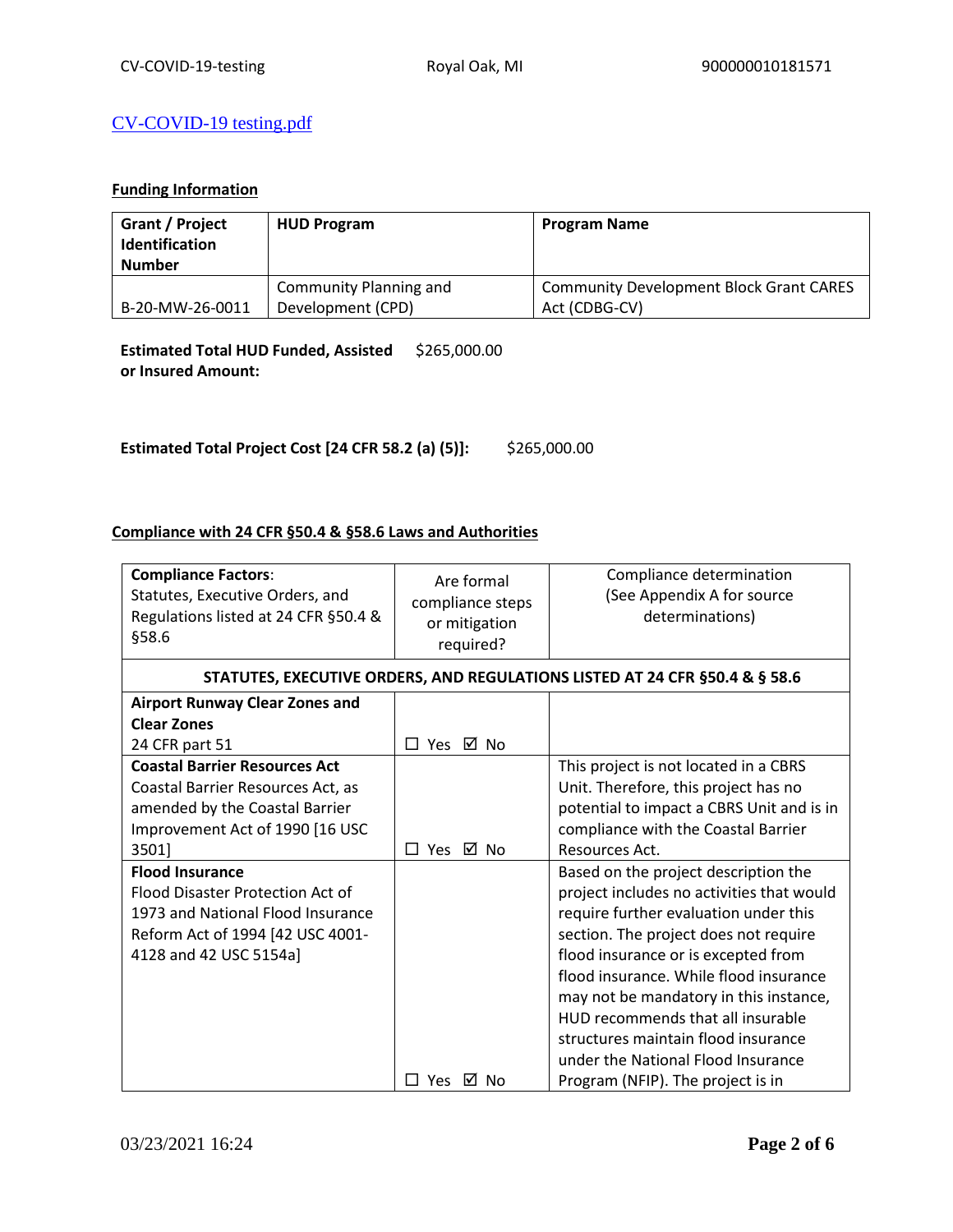## [CV-COVID-19 testing.pdf](https://heros.hud.gov/heros/faces/downloadFile.xhtml?erUploadId=900000010927285)

## **Funding Information**

| <b>Grant / Project</b><br><b>Identification</b><br><b>Number</b> | <b>HUD Program</b>     | <b>Program Name</b>                            |
|------------------------------------------------------------------|------------------------|------------------------------------------------|
|                                                                  | Community Planning and | <b>Community Development Block Grant CARES</b> |
| B-20-MW-26-0011                                                  | Development (CPD)      | Act (CDBG-CV)                                  |

**Estimated Total HUD Funded, Assisted**  \$265,000.00 **or Insured Amount:** 

**Estimated Total Project Cost [24 CFR 58.2 (a) (5)]:** \$265,000.00

## **Compliance with 24 CFR §50.4 & §58.6 Laws and Authorities**

| <b>Compliance Factors:</b><br>Statutes, Executive Orders, and<br>Regulations listed at 24 CFR §50.4 &<br>§58.6                                                | Are formal<br>compliance steps<br>or mitigation<br>required? | Compliance determination<br>(See Appendix A for source<br>determinations)                                                                                                                                                                                                                                                                                                                                                                             |
|---------------------------------------------------------------------------------------------------------------------------------------------------------------|--------------------------------------------------------------|-------------------------------------------------------------------------------------------------------------------------------------------------------------------------------------------------------------------------------------------------------------------------------------------------------------------------------------------------------------------------------------------------------------------------------------------------------|
|                                                                                                                                                               |                                                              | STATUTES, EXECUTIVE ORDERS, AND REGULATIONS LISTED AT 24 CFR §50.4 & § 58.6                                                                                                                                                                                                                                                                                                                                                                           |
| <b>Airport Runway Clear Zones and</b><br><b>Clear Zones</b><br>24 CFR part 51                                                                                 | □ Yes ☑ No                                                   |                                                                                                                                                                                                                                                                                                                                                                                                                                                       |
| <b>Coastal Barrier Resources Act</b><br>Coastal Barrier Resources Act, as<br>amended by the Coastal Barrier<br>Improvement Act of 1990 [16 USC<br>3501]       | Yes<br>⊠ No<br>П                                             | This project is not located in a CBRS<br>Unit. Therefore, this project has no<br>potential to impact a CBRS Unit and is in<br>compliance with the Coastal Barrier<br>Resources Act.                                                                                                                                                                                                                                                                   |
| <b>Flood Insurance</b><br>Flood Disaster Protection Act of<br>1973 and National Flood Insurance<br>Reform Act of 1994 [42 USC 4001-<br>4128 and 42 USC 5154a] | <b>Yes</b><br>⊠ No                                           | Based on the project description the<br>project includes no activities that would<br>require further evaluation under this<br>section. The project does not require<br>flood insurance or is excepted from<br>flood insurance. While flood insurance<br>may not be mandatory in this instance,<br>HUD recommends that all insurable<br>structures maintain flood insurance<br>under the National Flood Insurance<br>Program (NFIP). The project is in |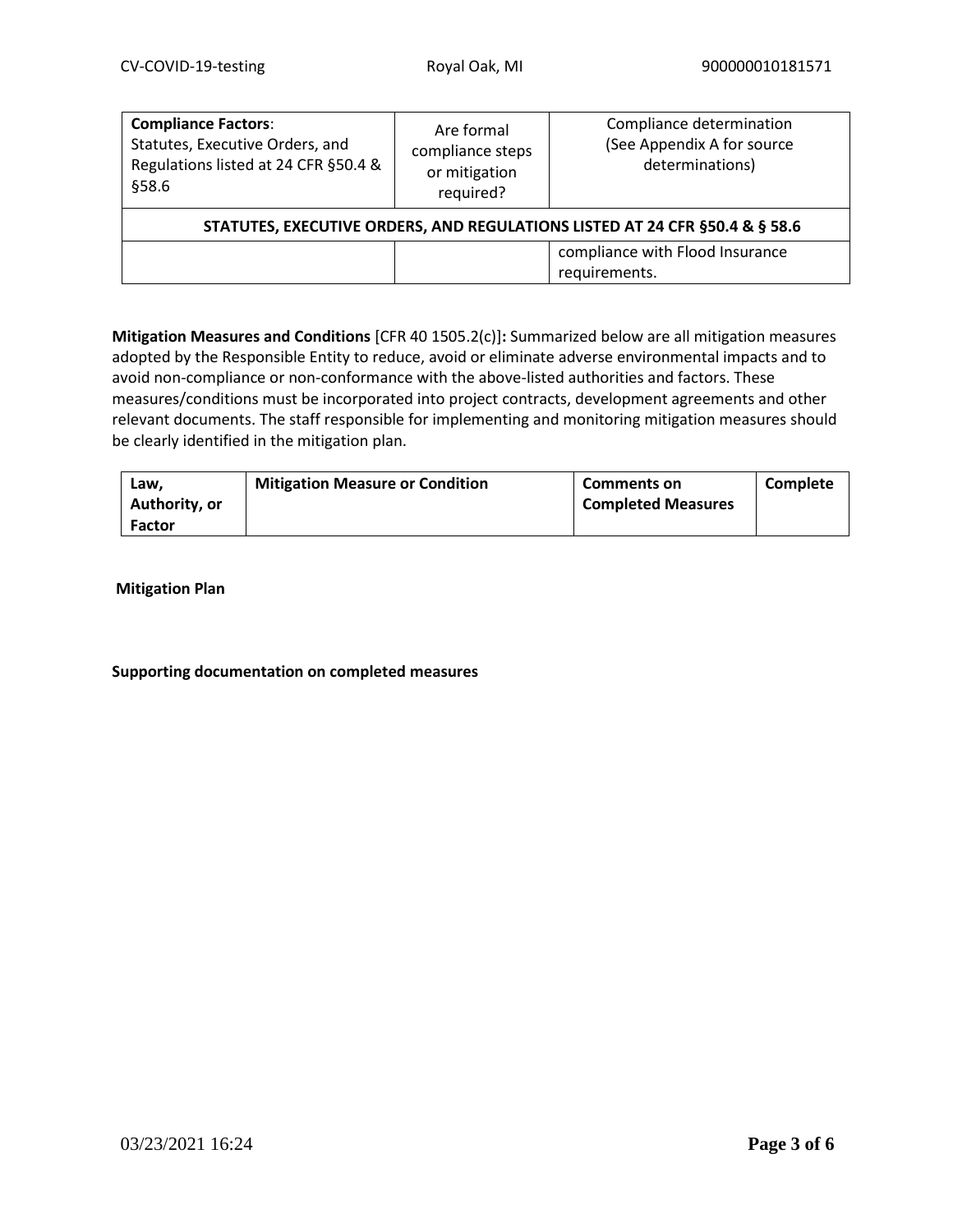| <b>Compliance Factors:</b><br>Statutes, Executive Orders, and<br>Regulations listed at 24 CFR §50.4 &<br>§58.6 | Are formal<br>compliance steps<br>or mitigation<br>required? | Compliance determination<br>(See Appendix A for source<br>determinations) |  |
|----------------------------------------------------------------------------------------------------------------|--------------------------------------------------------------|---------------------------------------------------------------------------|--|
| STATUTES, EXECUTIVE ORDERS, AND REGULATIONS LISTED AT 24 CFR §50.4 & § 58.6                                    |                                                              |                                                                           |  |
|                                                                                                                |                                                              | compliance with Flood Insurance<br>requirements.                          |  |

**Mitigation Measures and Conditions** [CFR 40 1505.2(c)]**:** Summarized below are all mitigation measures adopted by the Responsible Entity to reduce, avoid or eliminate adverse environmental impacts and to avoid non-compliance or non-conformance with the above-listed authorities and factors. These measures/conditions must be incorporated into project contracts, development agreements and other relevant documents. The staff responsible for implementing and monitoring mitigation measures should be clearly identified in the mitigation plan.

| Law.          | <b>Mitigation Measure or Condition</b> | <b>Comments on</b>        | Complete |
|---------------|----------------------------------------|---------------------------|----------|
| Authority, or |                                        | <b>Completed Measures</b> |          |
| <b>Factor</b> |                                        |                           |          |

**Mitigation Plan**

## **Supporting documentation on completed measures**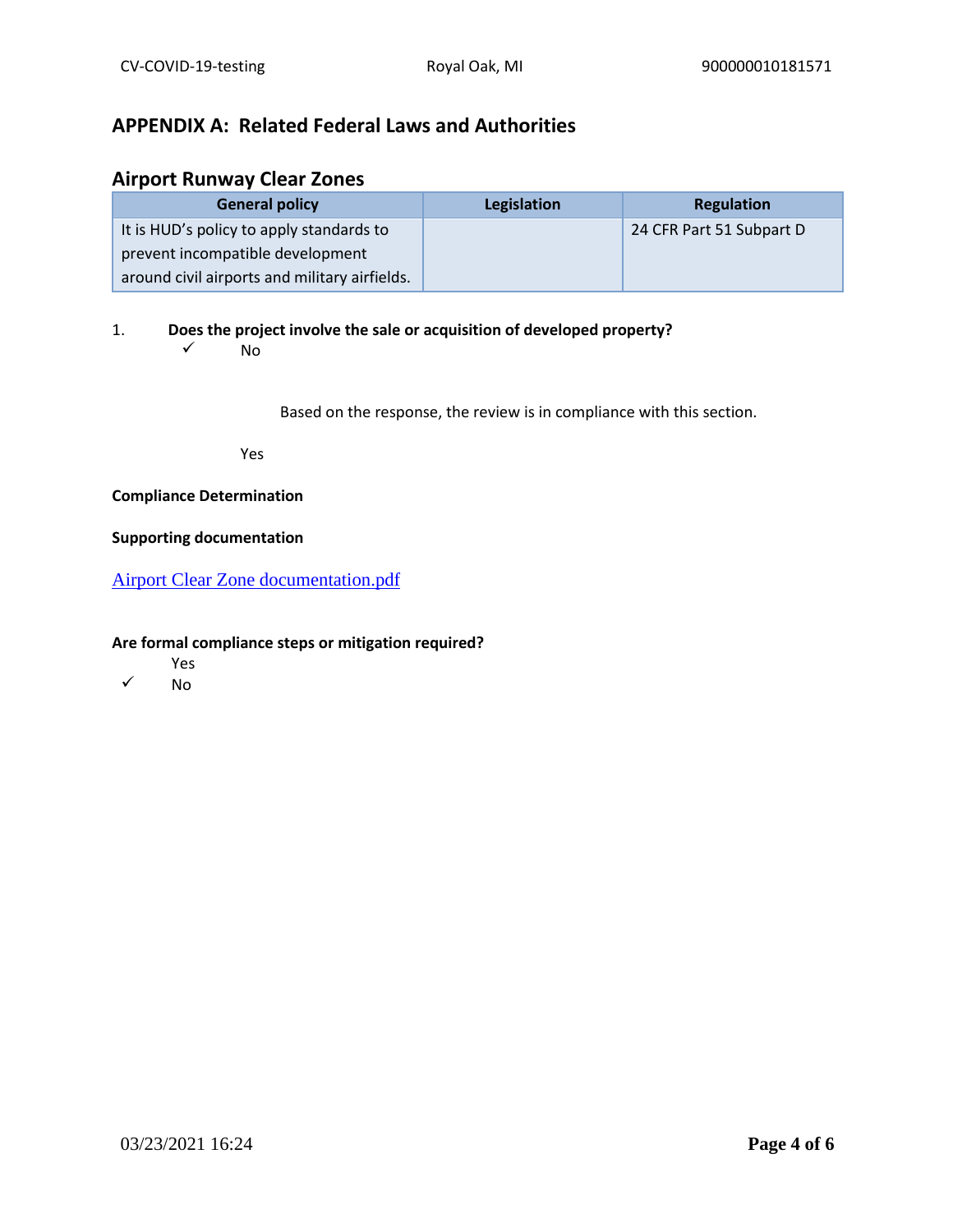## **APPENDIX A: Related Federal Laws and Authorities**

## **Airport Runway Clear Zones**

| <b>General policy</b>                         | Legislation | <b>Regulation</b>        |
|-----------------------------------------------|-------------|--------------------------|
| It is HUD's policy to apply standards to      |             | 24 CFR Part 51 Subpart D |
| prevent incompatible development              |             |                          |
| around civil airports and military airfields. |             |                          |

1. **Does the project involve the sale or acquisition of developed property?** 

 $\sqrt{N}$ 

Based on the response, the review is in compliance with this section.

Yes

## **Compliance Determination**

### **Supporting documentation**

[Airport Clear Zone documentation.pdf](https://heros.hud.gov/heros/faces/downloadFile.xhtml?erUploadId=900000010927254)

- Yes
- ✓ No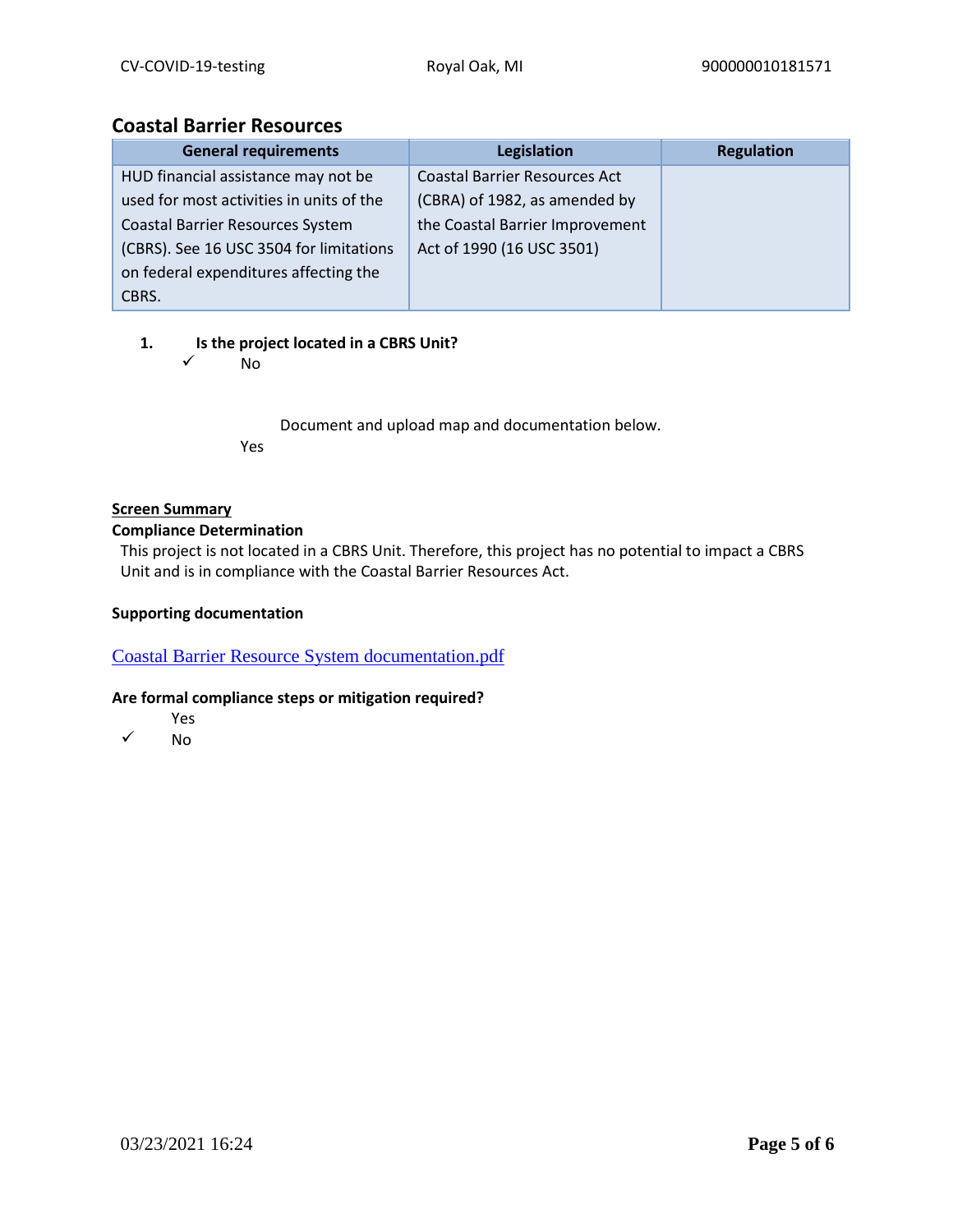## **Coastal Barrier Resources**

| <b>General requirements</b>              | Legislation                          | <b>Regulation</b> |
|------------------------------------------|--------------------------------------|-------------------|
| HUD financial assistance may not be      | <b>Coastal Barrier Resources Act</b> |                   |
| used for most activities in units of the | (CBRA) of 1982, as amended by        |                   |
| <b>Coastal Barrier Resources System</b>  | the Coastal Barrier Improvement      |                   |
| (CBRS). See 16 USC 3504 for limitations  | Act of 1990 (16 USC 3501)            |                   |
| on federal expenditures affecting the    |                                      |                   |
| CBRS.                                    |                                      |                   |

## **1. Is the project located in a CBRS Unit?**

✓ No

Document and upload map and documentation below. Yes

## **Screen Summary**

## **Compliance Determination**

This project is not located in a CBRS Unit. Therefore, this project has no potential to impact a CBRS Unit and is in compliance with the Coastal Barrier Resources Act.

## **Supporting documentation**

[Coastal Barrier Resource System documentation.pdf](https://heros.hud.gov/heros/faces/downloadFile.xhtml?erUploadId=900000010927263)

- Yes
- ✓ No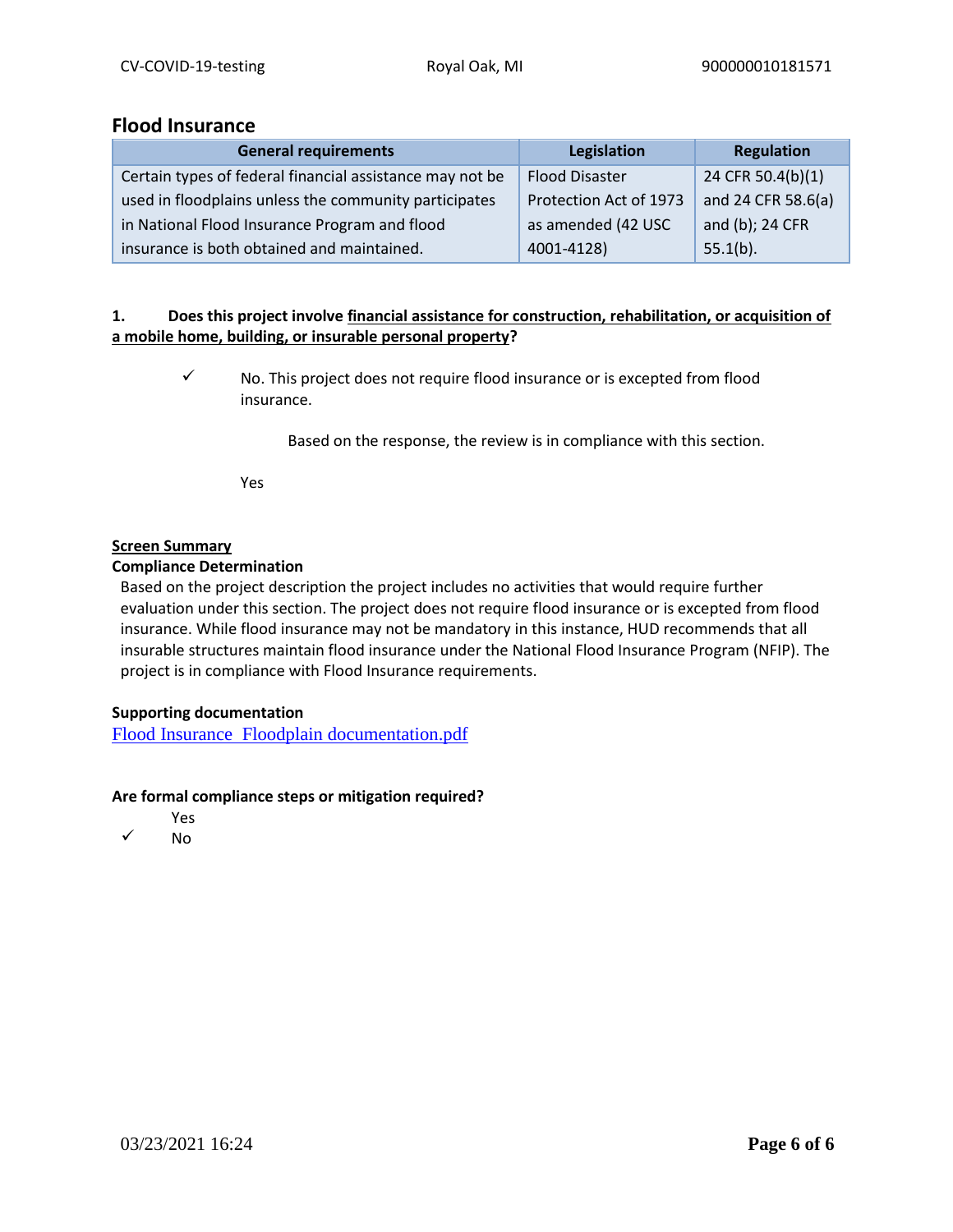## **Flood Insurance**

| <b>General requirements</b>                              | Legislation            | Regulation         |
|----------------------------------------------------------|------------------------|--------------------|
| Certain types of federal financial assistance may not be | <b>Flood Disaster</b>  | 24 CFR 50.4(b)(1)  |
| used in floodplains unless the community participates    | Protection Act of 1973 | and 24 CFR 58.6(a) |
| in National Flood Insurance Program and flood            | as amended (42 USC     | and (b); 24 CFR    |
| insurance is both obtained and maintained.               | 4001-4128)             | $55.1(b)$ .        |

## **1. Does this project involve financial assistance for construction, rehabilitation, or acquisition of a mobile home, building, or insurable personal property?**

✓ No. This project does not require flood insurance or is excepted from flood insurance.

Based on the response, the review is in compliance with this section.

Yes

#### **Screen Summary**

#### **Compliance Determination**

Based on the project description the project includes no activities that would require further evaluation under this section. The project does not require flood insurance or is excepted from flood insurance. While flood insurance may not be mandatory in this instance, HUD recommends that all insurable structures maintain flood insurance under the National Flood Insurance Program (NFIP). The project is in compliance with Flood Insurance requirements.

## **Supporting documentation**

[Flood Insurance Floodplain documentation.pdf](https://heros.hud.gov/heros/faces/downloadFile.xhtml?erUploadId=900000010927268)

- Yes
- ✓ No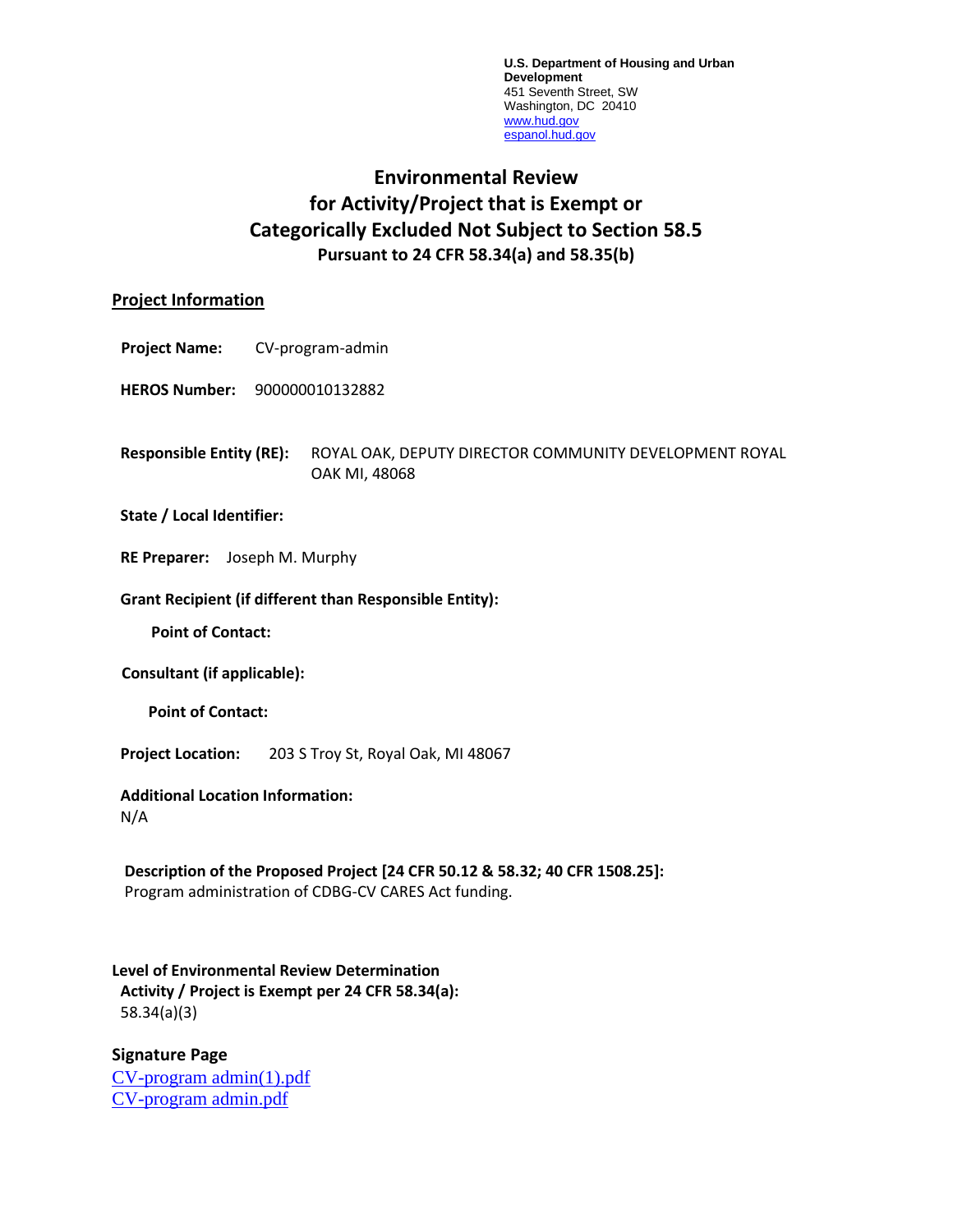**U.S. Department of Housing and Urban Development** 451 Seventh Street, SW Washington, DC 20410 [www.hud.gov](http://www.hud.gov/) [espanol.hud.gov](file:///C:/Documents%20and%20Settings/ABehl/Desktop/MicroStrategy/EMIS/Final%20EMIS/espanol.hud.gov)

# **Environmental Review for Activity/Project that is Exempt or Categorically Excluded Not Subject to Section 58.5 Pursuant to 24 CFR 58.34(a) and 58.35(b)**

## **Project Information**

- **Project Name:** CV-program-admin
- **HEROS Number:** 900000010132882
- **Responsible Entity (RE):** ROYAL OAK, DEPUTY DIRECTOR COMMUNITY DEVELOPMENT ROYAL OAK MI, 48068

#### **State / Local Identifier:**

**RE Preparer:** Joseph M. Murphy

#### **Grant Recipient (if different than Responsible Entity):**

**Point of Contact:** 

**Consultant (if applicable):**

**Point of Contact:** 

**Project Location:** 203 S Troy St, Royal Oak, MI 48067

#### **Additional Location Information:**

N/A

**Description of the Proposed Project [24 CFR 50.12 & 58.32; 40 CFR 1508.25]:** Program administration of CDBG-CV CARES Act funding.

## **Level of Environmental Review Determination Activity / Project is Exempt per 24 CFR 58.34(a):** 58.34(a)(3)

**Signature Page** [CV-program admin\(1\).pdf](https://heros.hud.gov/heros/faces/downloadFile.xhtml?erUploadId=900000010927168) [CV-program admin.pdf](https://heros.hud.gov/heros/faces/downloadFile.xhtml?erUploadId=900000010658401)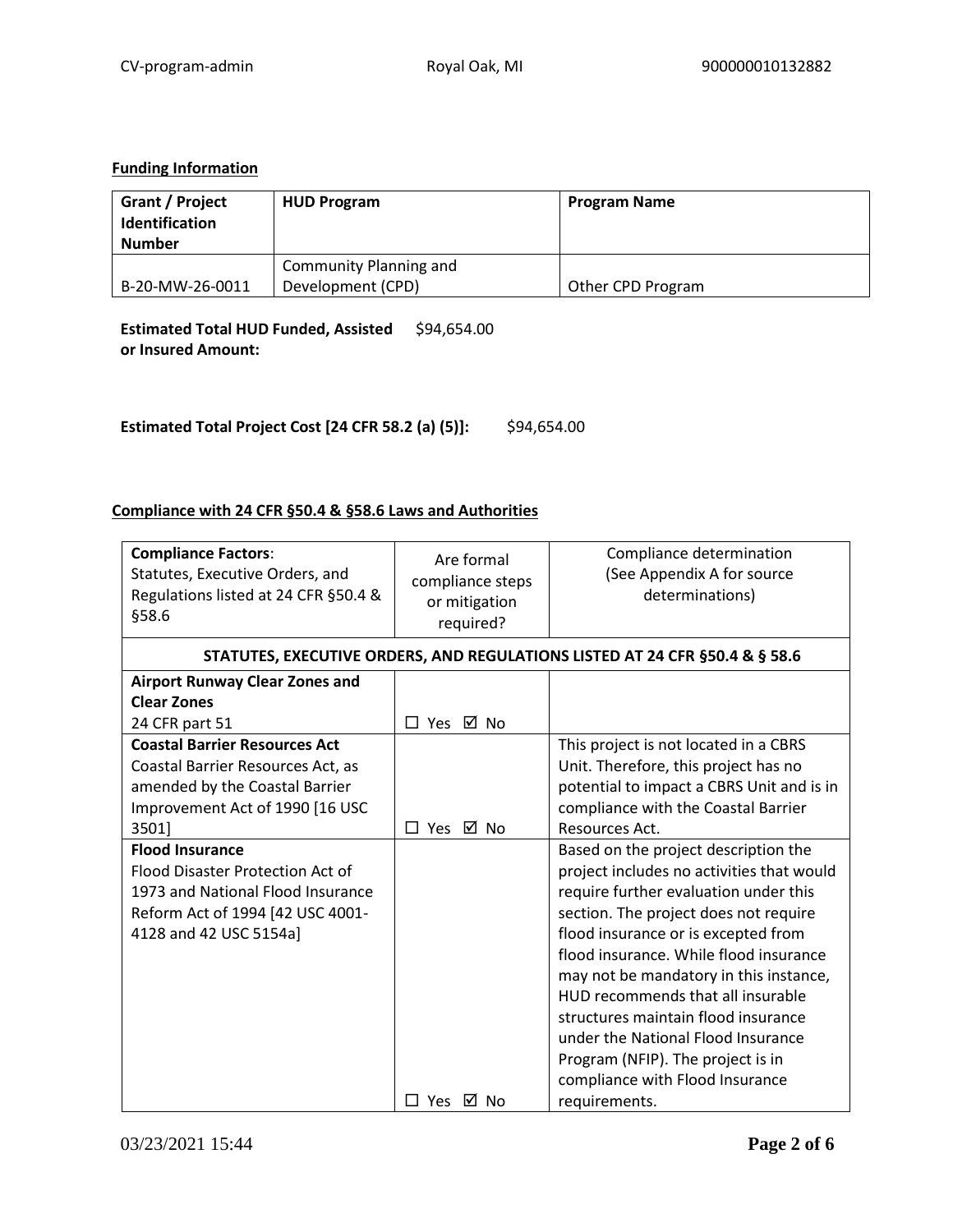## **Funding Information**

| Grant / Project<br>Identification<br><b>Number</b> | <b>HUD Program</b>     | <b>Program Name</b> |
|----------------------------------------------------|------------------------|---------------------|
|                                                    | Community Planning and |                     |
| B-20-MW-26-0011                                    | Development (CPD)      | Other CPD Program   |

**Estimated Total HUD Funded, Assisted**  \$94,654.00 **or Insured Amount:** 

**Estimated Total Project Cost [24 CFR 58.2 (a) (5)]:** \$94,654.00

## **Compliance with 24 CFR §50.4 & §58.6 Laws and Authorities**

| <b>Compliance Factors:</b><br>Statutes, Executive Orders, and<br>Regulations listed at 24 CFR §50.4 &<br>§58.6 | Are formal<br>compliance steps<br>or mitigation<br>required? | Compliance determination<br>(See Appendix A for source<br>determinations)   |
|----------------------------------------------------------------------------------------------------------------|--------------------------------------------------------------|-----------------------------------------------------------------------------|
|                                                                                                                |                                                              | STATUTES, EXECUTIVE ORDERS, AND REGULATIONS LISTED AT 24 CFR §50.4 & § 58.6 |
| <b>Airport Runway Clear Zones and</b>                                                                          |                                                              |                                                                             |
| <b>Clear Zones</b>                                                                                             |                                                              |                                                                             |
| 24 CFR part 51                                                                                                 | □ Yes ☑ No                                                   |                                                                             |
| <b>Coastal Barrier Resources Act</b>                                                                           |                                                              | This project is not located in a CBRS                                       |
| Coastal Barrier Resources Act, as                                                                              |                                                              | Unit. Therefore, this project has no                                        |
| amended by the Coastal Barrier                                                                                 |                                                              | potential to impact a CBRS Unit and is in                                   |
| Improvement Act of 1990 [16 USC                                                                                |                                                              | compliance with the Coastal Barrier                                         |
| 3501]                                                                                                          | Yes ☑ No<br>П.                                               | Resources Act.                                                              |
| <b>Flood Insurance</b>                                                                                         |                                                              | Based on the project description the                                        |
| Flood Disaster Protection Act of                                                                               |                                                              | project includes no activities that would                                   |
| 1973 and National Flood Insurance                                                                              |                                                              | require further evaluation under this                                       |
| Reform Act of 1994 [42 USC 4001-                                                                               |                                                              | section. The project does not require                                       |
| 4128 and 42 USC 5154a]                                                                                         |                                                              | flood insurance or is excepted from                                         |
|                                                                                                                |                                                              | flood insurance. While flood insurance                                      |
|                                                                                                                |                                                              | may not be mandatory in this instance,                                      |
|                                                                                                                |                                                              | HUD recommends that all insurable                                           |
|                                                                                                                |                                                              | structures maintain flood insurance                                         |
|                                                                                                                |                                                              | under the National Flood Insurance                                          |
|                                                                                                                |                                                              | Program (NFIP). The project is in                                           |
|                                                                                                                |                                                              | compliance with Flood Insurance                                             |
|                                                                                                                | □ Yes<br>⊠ No                                                | requirements.                                                               |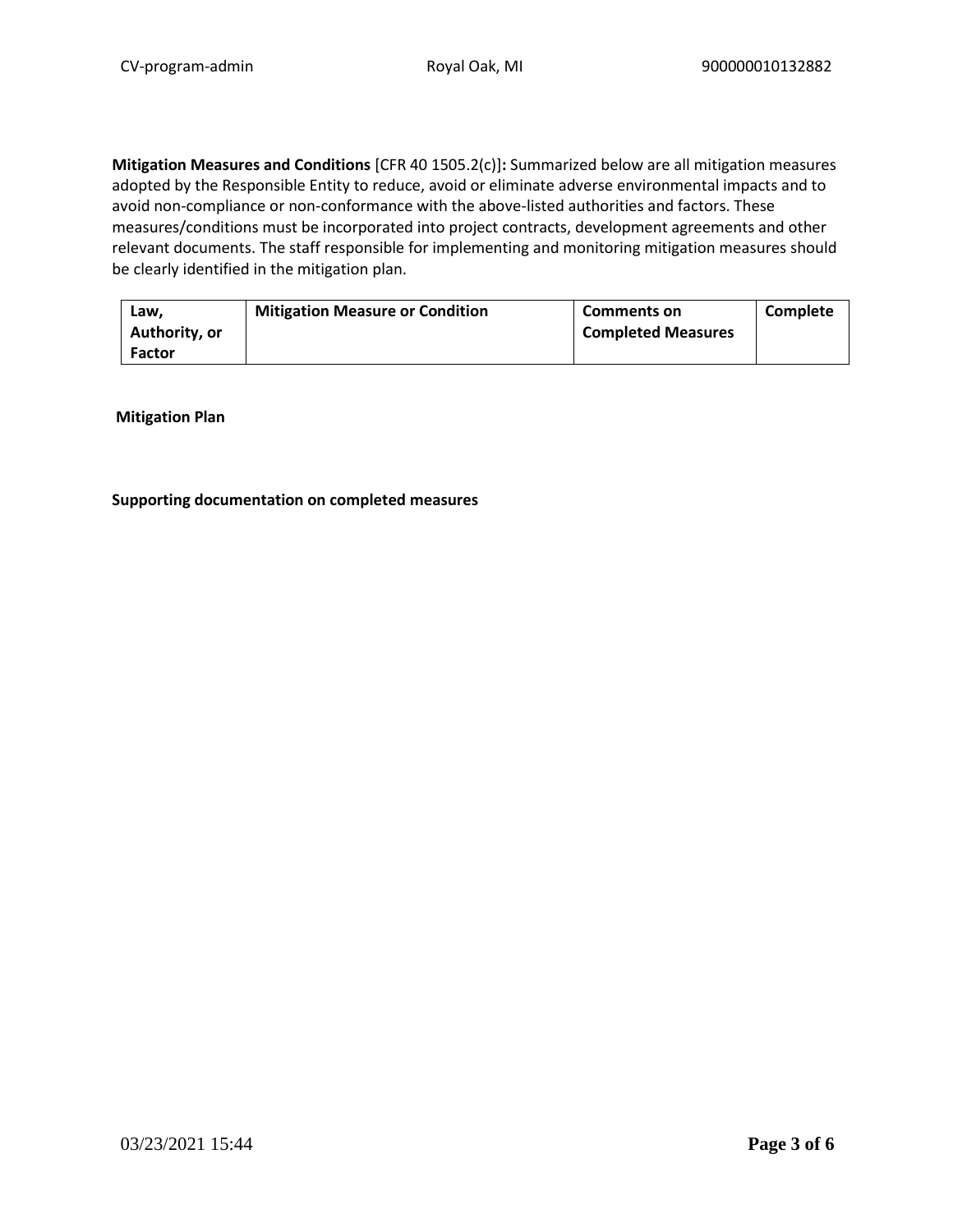**Mitigation Measures and Conditions** [CFR 40 1505.2(c)]**:** Summarized below are all mitigation measures adopted by the Responsible Entity to reduce, avoid or eliminate adverse environmental impacts and to avoid non-compliance or non-conformance with the above-listed authorities and factors. These measures/conditions must be incorporated into project contracts, development agreements and other relevant documents. The staff responsible for implementing and monitoring mitigation measures should be clearly identified in the mitigation plan.

| Law.<br>Authority, or | <b>Mitigation Measure or Condition</b> | <b>Comments on</b><br><b>Completed Measures</b> | Complete |
|-----------------------|----------------------------------------|-------------------------------------------------|----------|
| <b>Factor</b>         |                                        |                                                 |          |

**Mitigation Plan**

#### **Supporting documentation on completed measures**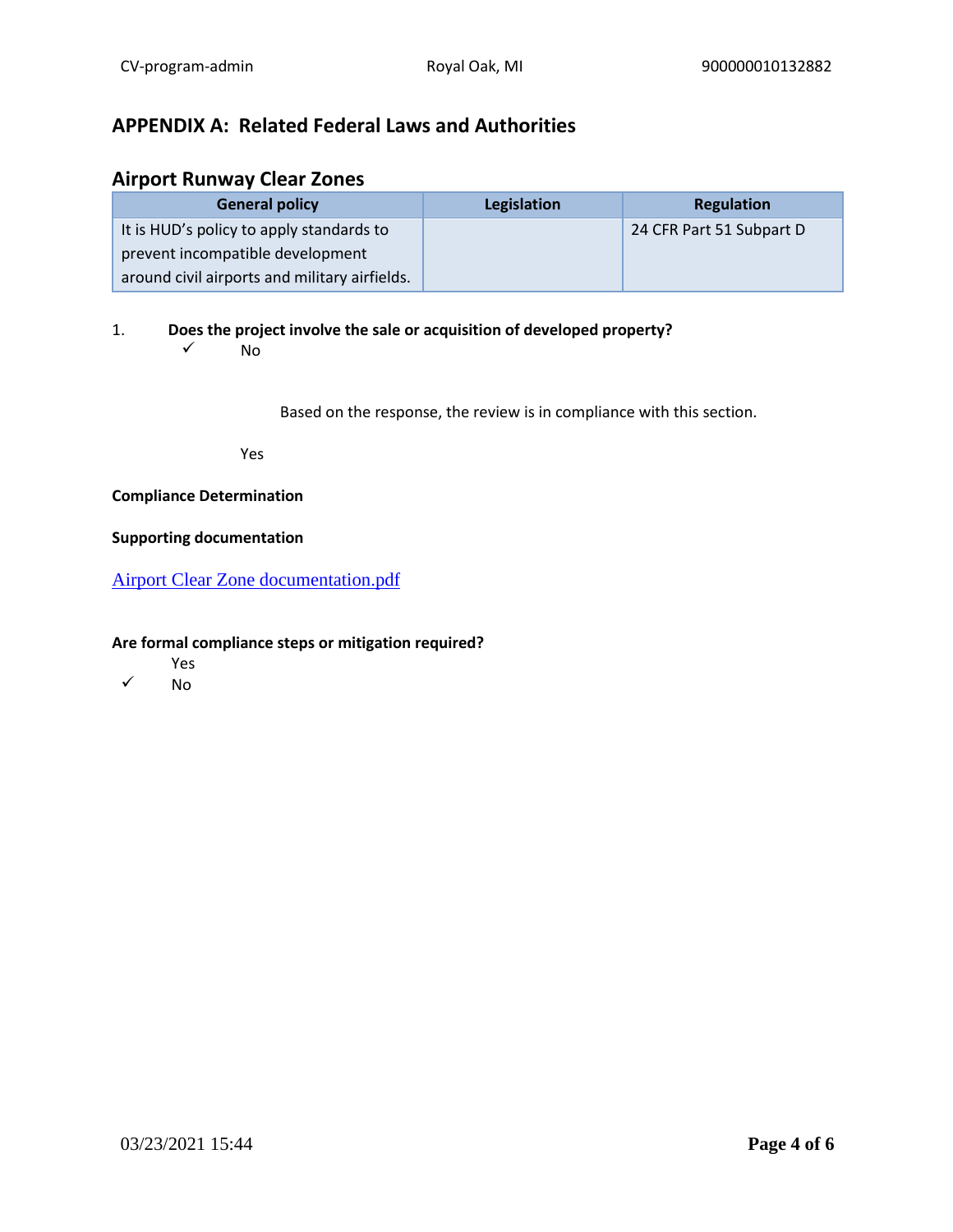# **APPENDIX A: Related Federal Laws and Authorities**

## **Airport Runway Clear Zones**

| <b>General policy</b>                         | Legislation | Regulation               |
|-----------------------------------------------|-------------|--------------------------|
| It is HUD's policy to apply standards to      |             | 24 CFR Part 51 Subpart D |
| prevent incompatible development              |             |                          |
| around civil airports and military airfields. |             |                          |

1. **Does the project involve the sale or acquisition of developed property?** 

 $\sqrt{N}$ 

Based on the response, the review is in compliance with this section.

Yes

## **Compliance Determination**

#### **Supporting documentation**

[Airport Clear Zone documentation.pdf](https://heros.hud.gov/heros/faces/downloadFile.xhtml?erUploadId=900000010657481)

- Yes
- ✓ No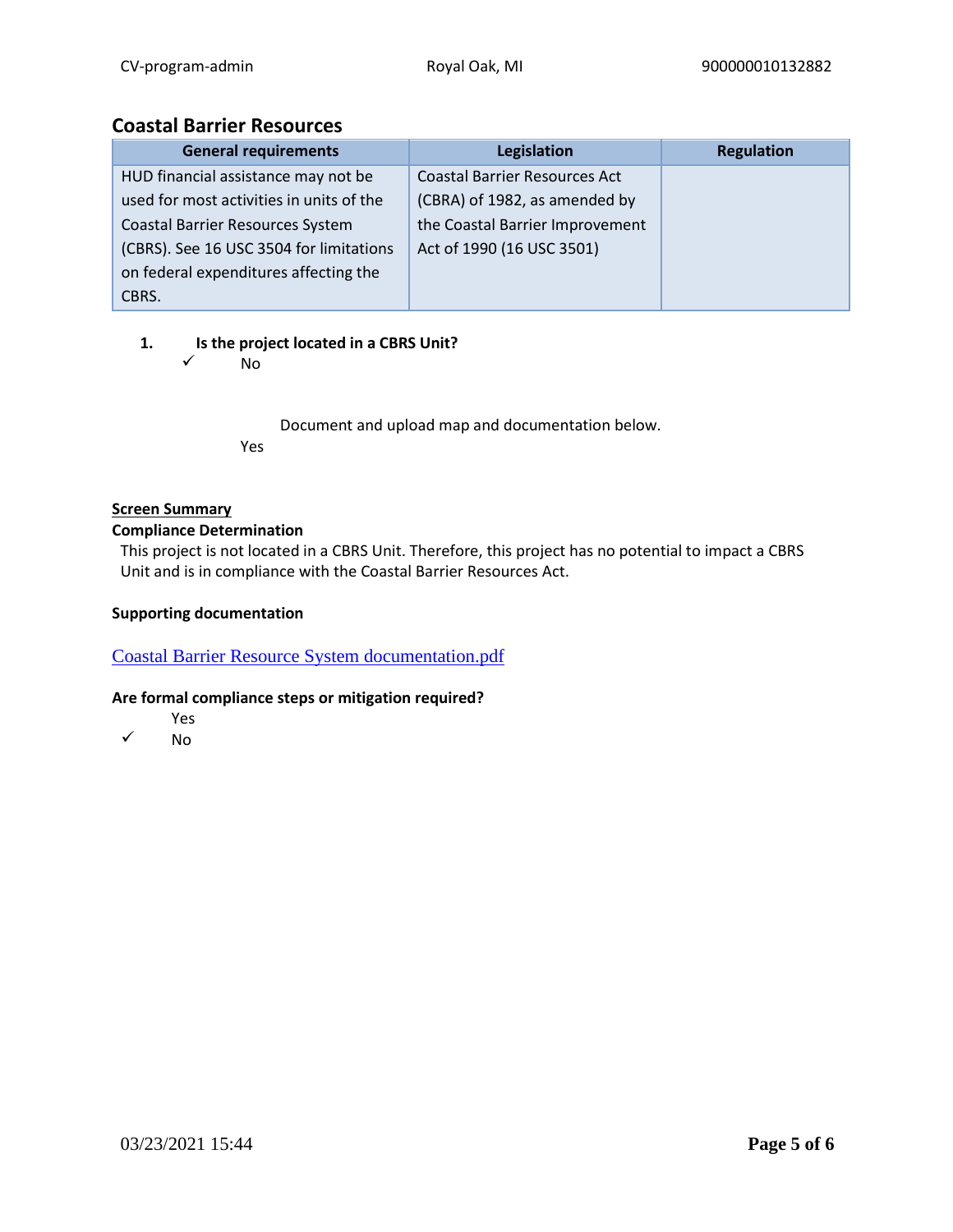## **Coastal Barrier Resources**

| <b>General requirements</b>              | Legislation                          | <b>Regulation</b> |
|------------------------------------------|--------------------------------------|-------------------|
| HUD financial assistance may not be      | <b>Coastal Barrier Resources Act</b> |                   |
| used for most activities in units of the | (CBRA) of 1982, as amended by        |                   |
| <b>Coastal Barrier Resources System</b>  | the Coastal Barrier Improvement      |                   |
| (CBRS). See 16 USC 3504 for limitations  | Act of 1990 (16 USC 3501)            |                   |
| on federal expenditures affecting the    |                                      |                   |
| CBRS.                                    |                                      |                   |

## **1. Is the project located in a CBRS Unit?**

✓ No

Document and upload map and documentation below. Yes

## **Screen Summary**

## **Compliance Determination**

This project is not located in a CBRS Unit. Therefore, this project has no potential to impact a CBRS Unit and is in compliance with the Coastal Barrier Resources Act.

## **Supporting documentation**

[Coastal Barrier Resource System documentation.pdf](https://heros.hud.gov/heros/faces/downloadFile.xhtml?erUploadId=900000010657482)

- Yes
- ✓ No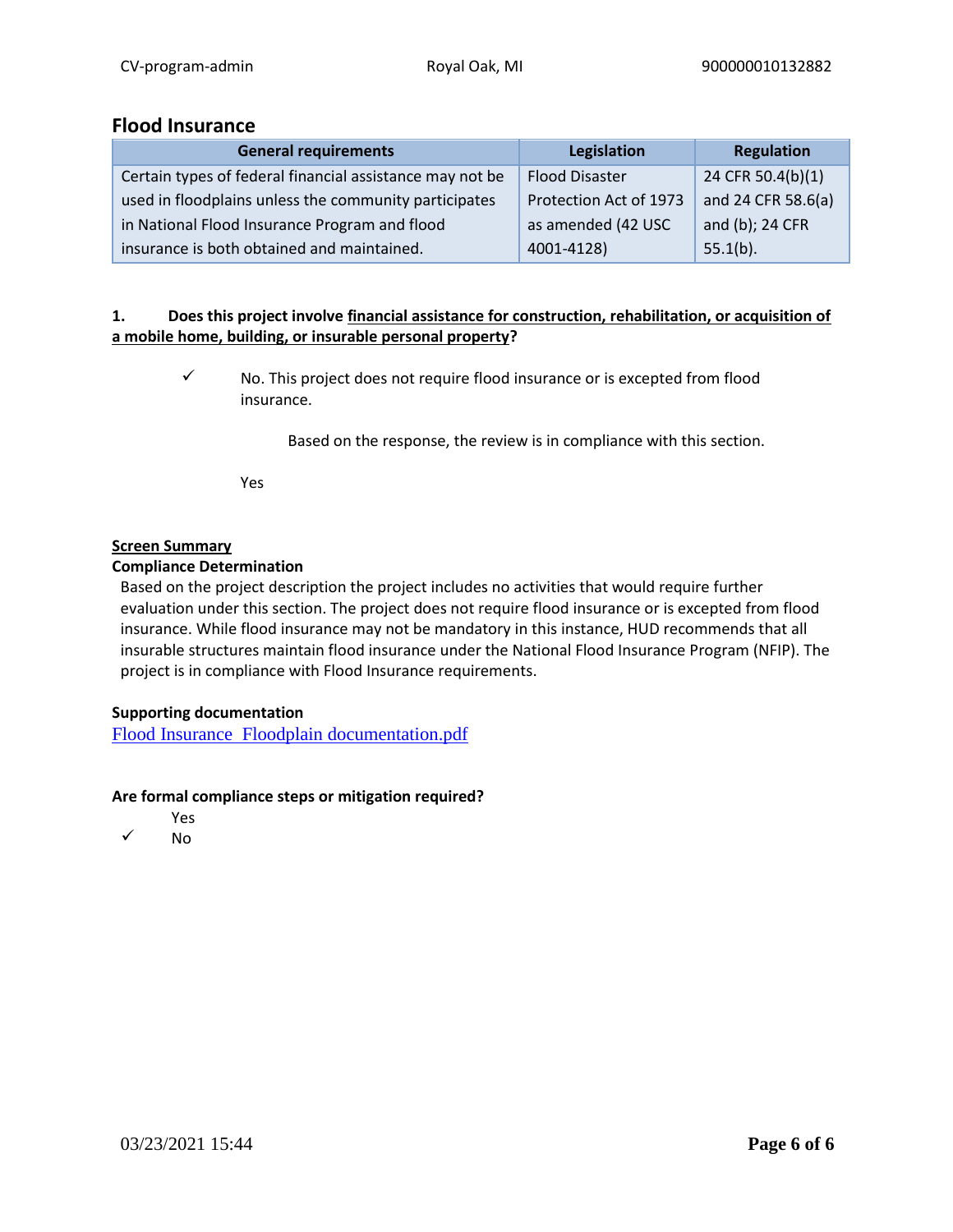## **Flood Insurance**

| <b>General requirements</b>                              | Legislation            | Regulation         |
|----------------------------------------------------------|------------------------|--------------------|
| Certain types of federal financial assistance may not be | <b>Flood Disaster</b>  | 24 CFR 50.4(b)(1)  |
| used in floodplains unless the community participates    | Protection Act of 1973 | and 24 CFR 58.6(a) |
| in National Flood Insurance Program and flood            | as amended (42 USC     | and (b); 24 CFR    |
| insurance is both obtained and maintained.               | 4001-4128)             | $55.1(b)$ .        |

## **1. Does this project involve financial assistance for construction, rehabilitation, or acquisition of a mobile home, building, or insurable personal property?**

✓ No. This project does not require flood insurance or is excepted from flood insurance.

Based on the response, the review is in compliance with this section.

Yes

## **Screen Summary**

## **Compliance Determination**

Based on the project description the project includes no activities that would require further evaluation under this section. The project does not require flood insurance or is excepted from flood insurance. While flood insurance may not be mandatory in this instance, HUD recommends that all insurable structures maintain flood insurance under the National Flood Insurance Program (NFIP). The project is in compliance with Flood Insurance requirements.

## **Supporting documentation**

[Flood Insurance Floodplain documentation.pdf](https://heros.hud.gov/heros/faces/downloadFile.xhtml?erUploadId=900000010657484)

- Yes
- ✓ No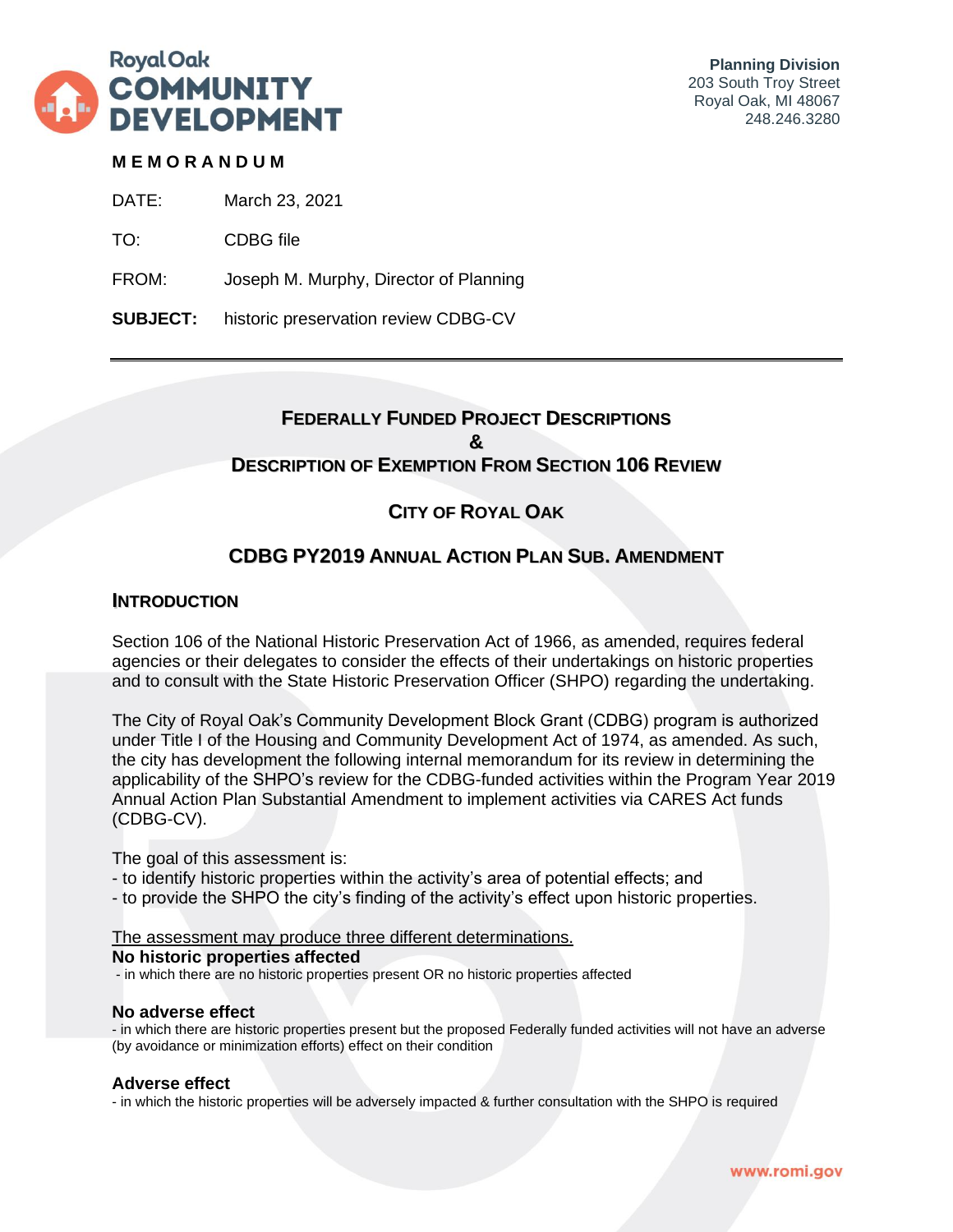

## **M E M O R A N D U M**

DATE: March 23, 2021

TO: CDBG file

FROM: Joseph M. Murphy, Director of Planning

**SUBJECT:** historic preservation review CDBG-CV

## **FEDERALLY FUNDED PROJECT DESCRIPTIONS & DESCRIPTION OF EXEMPTION FROM SECTION 106 REVIEW**

# **CITY OF ROYAL OAK**

## **CDBG PY2019 ANNUAL ACTION PLAN SUB. AMENDMENT**

## **INTRODUCTION**

Section 106 of the National Historic Preservation Act of 1966, as amended, requires federal agencies or their delegates to consider the effects of their undertakings on historic properties and to consult with the State Historic Preservation Officer (SHPO) regarding the undertaking.

The City of Royal Oak's Community Development Block Grant (CDBG) program is authorized under Title I of the Housing and Community Development Act of 1974, as amended. As such, the city has development the following internal memorandum for its review in determining the applicability of the SHPO's review for the CDBG-funded activities within the Program Year 2019 Annual Action Plan Substantial Amendment to implement activities via CARES Act funds (CDBG-CV).

The goal of this assessment is:

- to identify historic properties within the activity's area of potential effects; and
- to provide the SHPO the city's finding of the activity's effect upon historic properties.

#### The assessment may produce three different determinations.

#### **No historic properties affected**

- in which there are no historic properties present OR no historic properties affected

#### **No adverse effect**

- in which there are historic properties present but the proposed Federally funded activities will not have an adverse (by avoidance or minimization efforts) effect on their condition

#### **Adverse effect**

- in which the historic properties will be adversely impacted & further consultation with the SHPO is required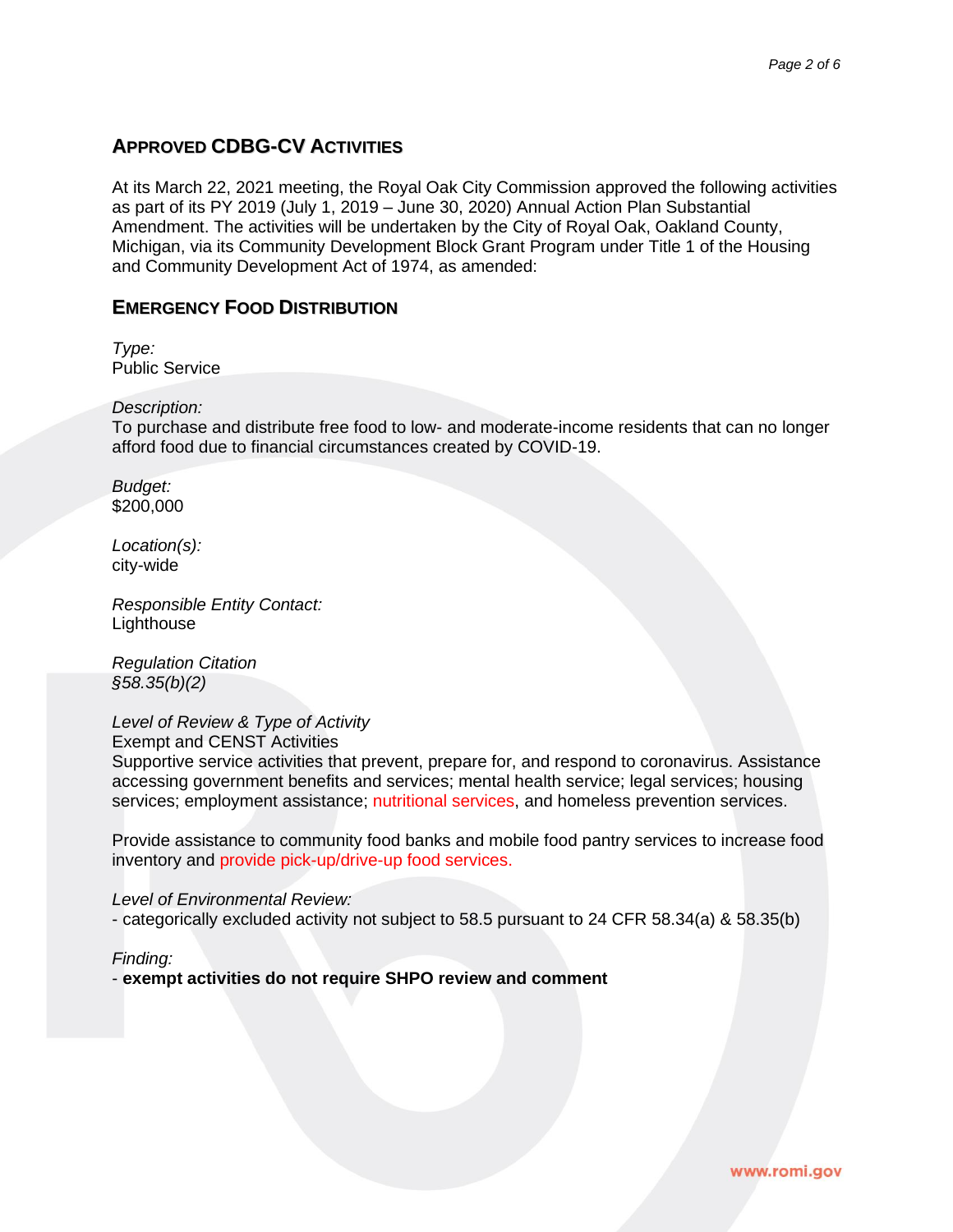## **APPROVED CDBG-CV ACTIVITIES**

At its March 22, 2021 meeting, the Royal Oak City Commission approved the following activities as part of its PY 2019 (July 1, 2019 – June 30, 2020) Annual Action Plan Substantial Amendment. The activities will be undertaken by the City of Royal Oak, Oakland County, Michigan, via its Community Development Block Grant Program under Title 1 of the Housing and Community Development Act of 1974, as amended:

## **EMERGENCY FOOD DISTRIBUTION**

*Type:* Public Service

*Description:*

To purchase and distribute free food to low- and moderate-income residents that can no longer afford food due to financial circumstances created by COVID-19.

*Budget:* \$200,000

*Location(s):* city-wide

*Responsible Entity Contact:* **Lighthouse** 

*Regulation Citation §58.35(b)(2)*

*Level of Review & Type of Activity*

Exempt and CENST Activities

Supportive service activities that prevent, prepare for, and respond to coronavirus. Assistance accessing government benefits and services; mental health service; legal services; housing services; employment assistance; nutritional services, and homeless prevention services.

Provide assistance to community food banks and mobile food pantry services to increase food inventory and provide pick-up/drive-up food services.

*Level of Environmental Review:*

- categorically excluded activity not subject to 58.5 pursuant to 24 CFR 58.34(a) & 58.35(b)

*Finding:*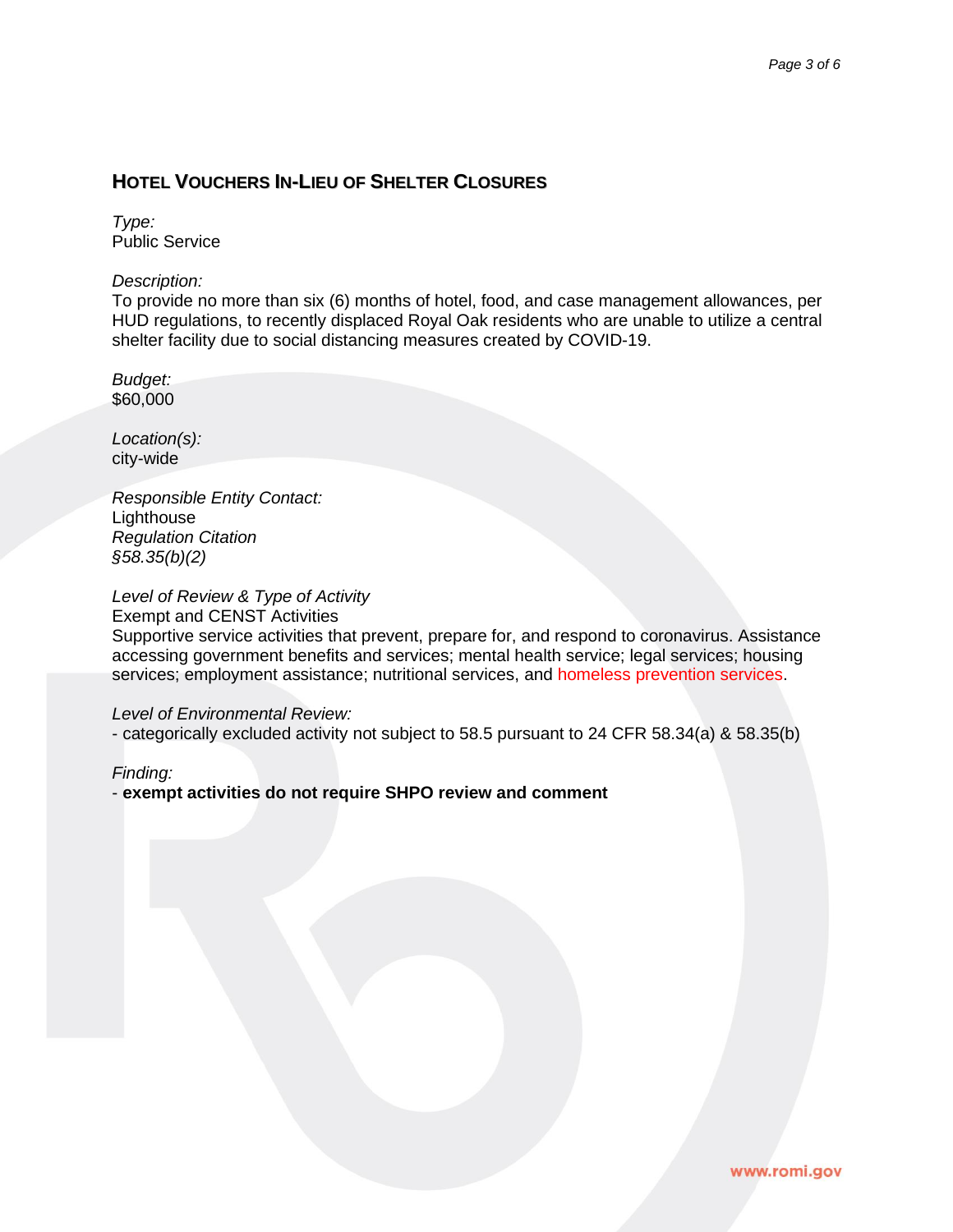## **HOTEL VOUCHERS IN-LIEU OF SHELTER CLOSURES**

*Type:* Public Service

#### *Description:*

To provide no more than six (6) months of hotel, food, and case management allowances, per HUD regulations, to recently displaced Royal Oak residents who are unable to utilize a central shelter facility due to social distancing measures created by COVID-19.

*Budget:* \$60,000

*Location(s):* city-wide

*Responsible Entity Contact:* Lighthouse *Regulation Citation §58.35(b)(2)*

## *Level of Review & Type of Activity*

Exempt and CENST Activities

Supportive service activities that prevent, prepare for, and respond to coronavirus. Assistance accessing government benefits and services; mental health service; legal services; housing services; employment assistance; nutritional services, and homeless prevention services.

#### *Level of Environmental Review:*

- categorically excluded activity not subject to 58.5 pursuant to 24 CFR 58.34(a) & 58.35(b)

*Finding:*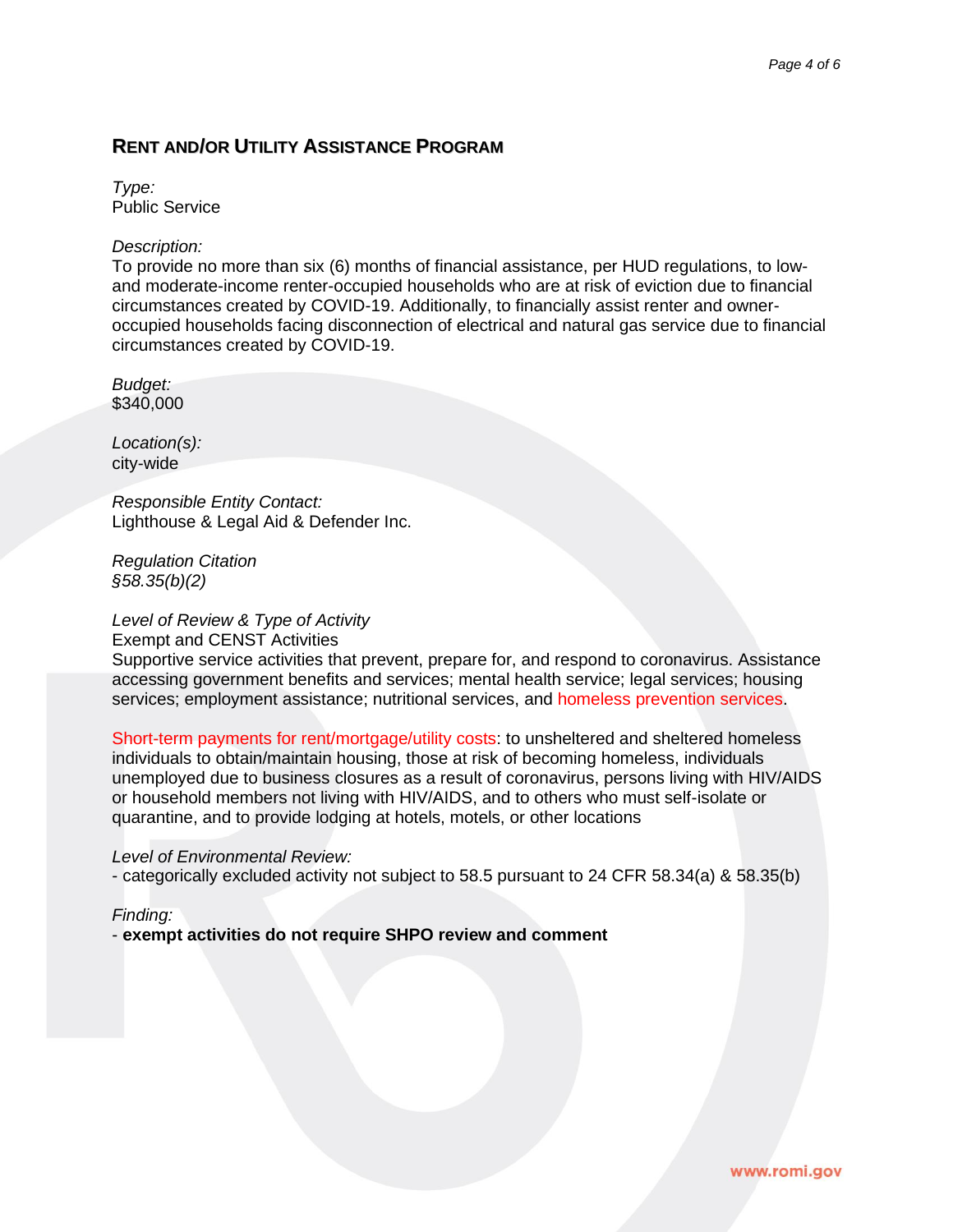## **RENT AND/OR UTILITY ASSISTANCE PROGRAM**

*Type:* Public Service

### *Description:*

To provide no more than six (6) months of financial assistance, per HUD regulations, to lowand moderate-income renter-occupied households who are at risk of eviction due to financial circumstances created by COVID-19. Additionally, to financially assist renter and owneroccupied households facing disconnection of electrical and natural gas service due to financial circumstances created by COVID-19.

*Budget:* \$340,000

*Location(s):* city-wide

*Responsible Entity Contact:* Lighthouse & Legal Aid & Defender Inc.

*Regulation Citation §58.35(b)(2)*

## *Level of Review & Type of Activity*

Exempt and CENST Activities

Supportive service activities that prevent, prepare for, and respond to coronavirus. Assistance accessing government benefits and services; mental health service; legal services; housing services; employment assistance; nutritional services, and homeless prevention services.

Short-term payments for rent/mortgage/utility costs: to unsheltered and sheltered homeless individuals to obtain/maintain housing, those at risk of becoming homeless, individuals unemployed due to business closures as a result of coronavirus, persons living with HIV/AIDS or household members not living with HIV/AIDS, and to others who must self-isolate or quarantine, and to provide lodging at hotels, motels, or other locations

#### *Level of Environmental Review:*

- categorically excluded activity not subject to 58.5 pursuant to 24 CFR 58.34(a) & 58.35(b)

#### *Finding:*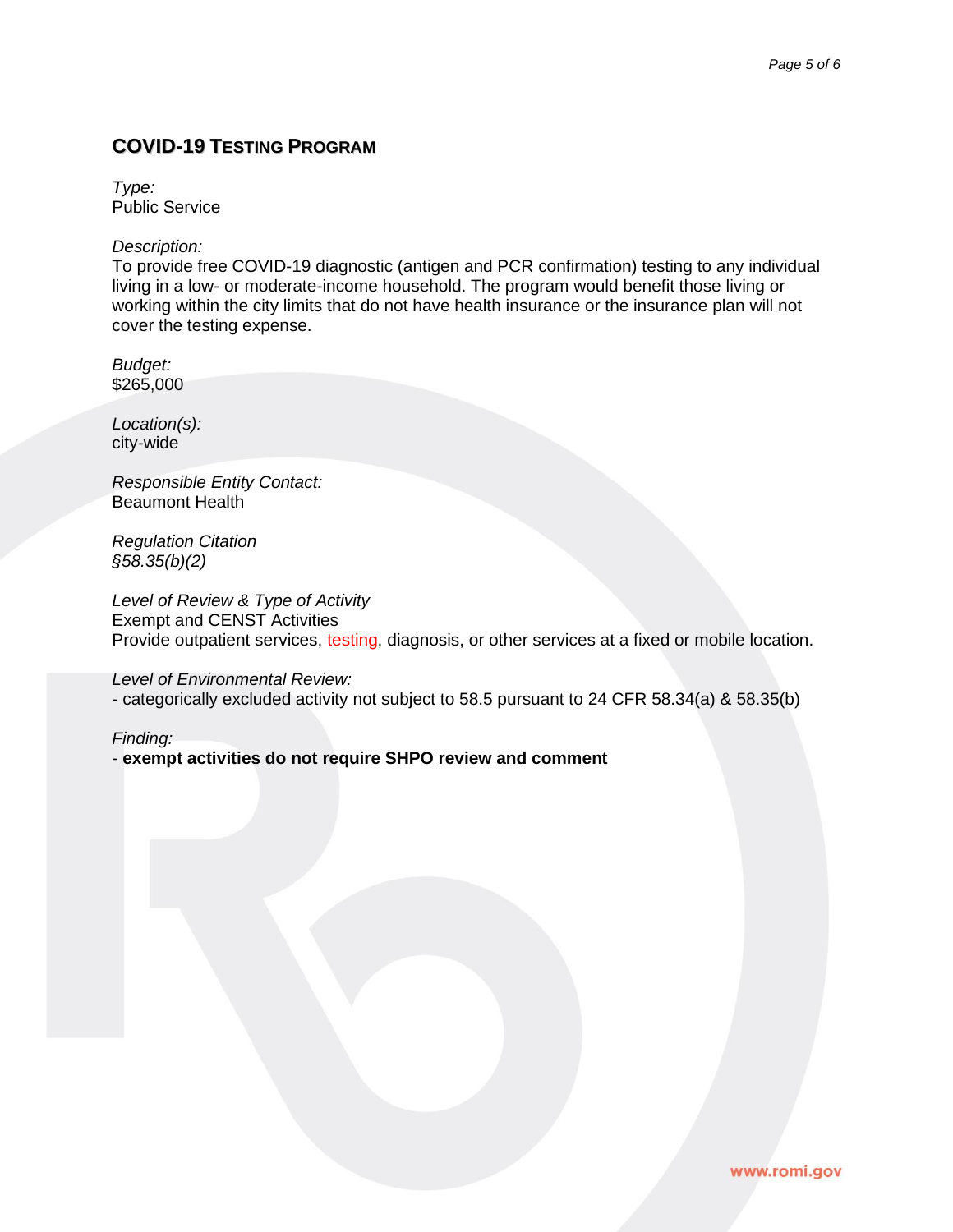## **COVID-19 TESTING PROGRAM**

*Type:* Public Service

*Description:*

To provide free COVID-19 diagnostic (antigen and PCR confirmation) testing to any individual living in a low- or moderate-income household. The program would benefit those living or working within the city limits that do not have health insurance or the insurance plan will not cover the testing expense.

*Budget:* \$265,000

*Location(s):* city-wide

*Responsible Entity Contact:* Beaumont Health

*Regulation Citation §58.35(b)(2)*

*Level of Review & Type of Activity* Exempt and CENST Activities Provide outpatient services, testing, diagnosis, or other services at a fixed or mobile location.

*Level of Environmental Review:*

- categorically excluded activity not subject to 58.5 pursuant to 24 CFR 58.34(a) & 58.35(b)

*Finding:*